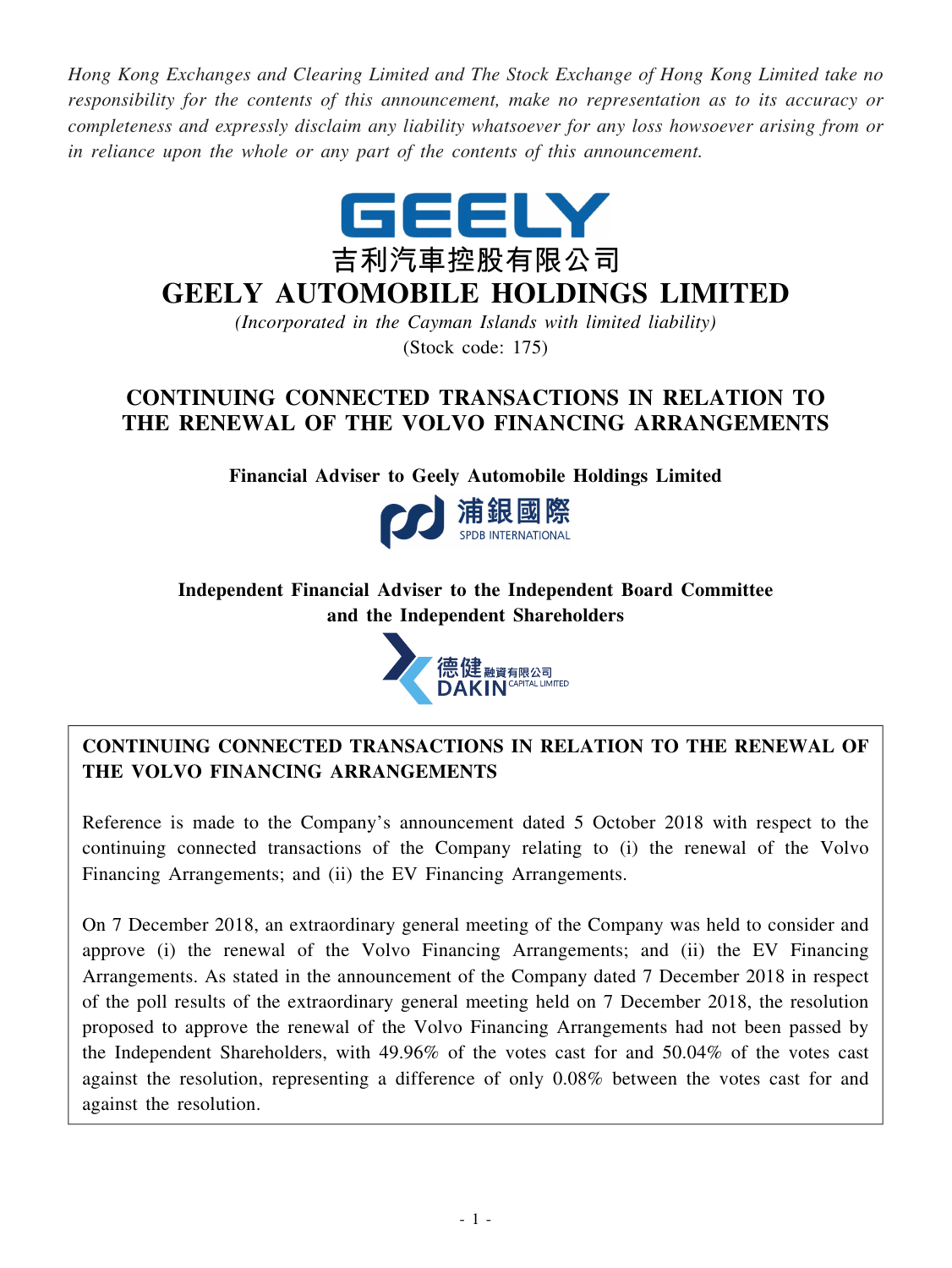*Hong Kong Exchanges and Clearing Limited and The Stock Exchange of Hong Kong Limited take no responsibility for the contents of this announcement, make no representation as to its accuracy or completeness and expressly disclaim any liability whatsoever for any loss howsoever arising from or in reliance upon the whole or any part of the contents of this announcement.*



# **GEELY AUTOMOBILE HOLDINGS LIMITED**

*(Incorporated in the Cayman Islands with limited liability)* (Stock code: 175)

# **CONTINUING CONNECTED TRANSACTIONS IN RELATION TO THE RENEWAL OF THE VOLVO FINANCING ARRANGEMENTS**

**Financial Adviser to Geely Automobile Holdings Limited**



# **Independent Financial Adviser to the Independent Board Committee and the Independent Shareholders**



# **CONTINUING CONNECTED TRANSACTIONS IN RELATION TO THE RENEWAL OF THE VOLVO FINANCING ARRANGEMENTS**

Reference is made to the Company's announcement dated 5 October 2018 with respect to the continuing connected transactions of the Company relating to (i) the renewal of the Volvo Financing Arrangements; and (ii) the EV Financing Arrangements.

On 7 December 2018, an extraordinary general meeting of the Company was held to consider and approve (i) the renewal of the Volvo Financing Arrangements; and (ii) the EV Financing Arrangements. As stated in the announcement of the Company dated 7 December 2018 in respect of the poll results of the extraordinary general meeting held on 7 December 2018, the resolution proposed to approve the renewal of the Volvo Financing Arrangements had not been passed by the Independent Shareholders, with 49.96% of the votes cast for and 50.04% of the votes cast against the resolution, representing a difference of only 0.08% between the votes cast for and against the resolution.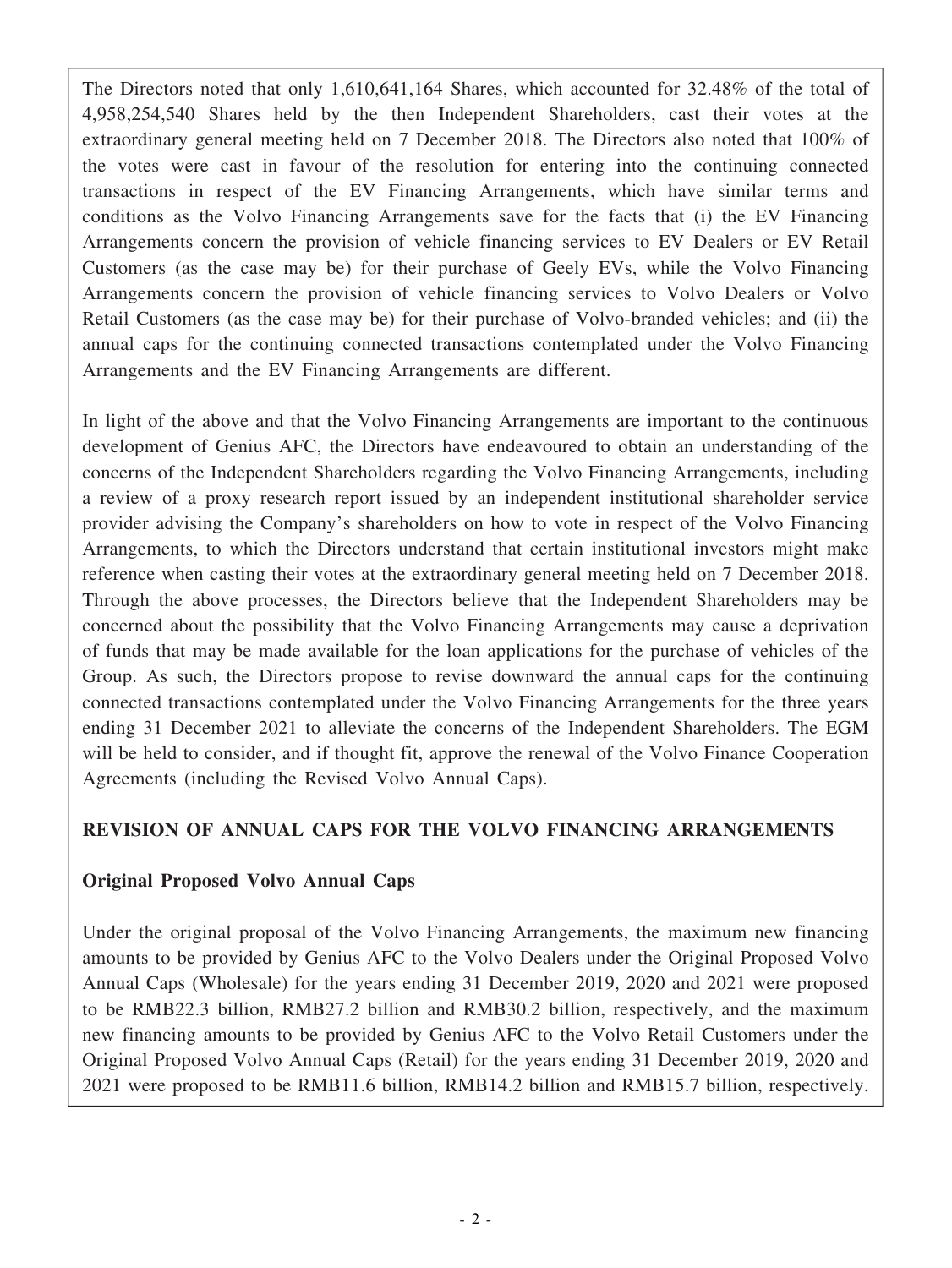The Directors noted that only 1,610,641,164 Shares, which accounted for 32.48% of the total of 4,958,254,540 Shares held by the then Independent Shareholders, cast their votes at the extraordinary general meeting held on 7 December 2018. The Directors also noted that 100% of the votes were cast in favour of the resolution for entering into the continuing connected transactions in respect of the EV Financing Arrangements, which have similar terms and conditions as the Volvo Financing Arrangements save for the facts that (i) the EV Financing Arrangements concern the provision of vehicle financing services to EV Dealers or EV Retail Customers (as the case may be) for their purchase of Geely EVs, while the Volvo Financing Arrangements concern the provision of vehicle financing services to Volvo Dealers or Volvo Retail Customers (as the case may be) for their purchase of Volvo-branded vehicles; and (ii) the annual caps for the continuing connected transactions contemplated under the Volvo Financing Arrangements and the EV Financing Arrangements are different.

In light of the above and that the Volvo Financing Arrangements are important to the continuous development of Genius AFC, the Directors have endeavoured to obtain an understanding of the concerns of the Independent Shareholders regarding the Volvo Financing Arrangements, including a review of a proxy research report issued by an independent institutional shareholder service provider advising the Company's shareholders on how to vote in respect of the Volvo Financing Arrangements, to which the Directors understand that certain institutional investors might make reference when casting their votes at the extraordinary general meeting held on 7 December 2018. Through the above processes, the Directors believe that the Independent Shareholders may be concerned about the possibility that the Volvo Financing Arrangements may cause a deprivation of funds that may be made available for the loan applications for the purchase of vehicles of the Group. As such, the Directors propose to revise downward the annual caps for the continuing connected transactions contemplated under the Volvo Financing Arrangements for the three years ending 31 December 2021 to alleviate the concerns of the Independent Shareholders. The EGM will be held to consider, and if thought fit, approve the renewal of the Volvo Finance Cooperation Agreements (including the Revised Volvo Annual Caps).

# **REVISION OF ANNUAL CAPS FOR THE VOLVO FINANCING ARRANGEMENTS**

# **Original Proposed Volvo Annual Caps**

Under the original proposal of the Volvo Financing Arrangements, the maximum new financing amounts to be provided by Genius AFC to the Volvo Dealers under the Original Proposed Volvo Annual Caps (Wholesale) for the years ending 31 December 2019, 2020 and 2021 were proposed to be RMB22.3 billion, RMB27.2 billion and RMB30.2 billion, respectively, and the maximum new financing amounts to be provided by Genius AFC to the Volvo Retail Customers under the Original Proposed Volvo Annual Caps (Retail) for the years ending 31 December 2019, 2020 and 2021 were proposed to be RMB11.6 billion, RMB14.2 billion and RMB15.7 billion, respectively.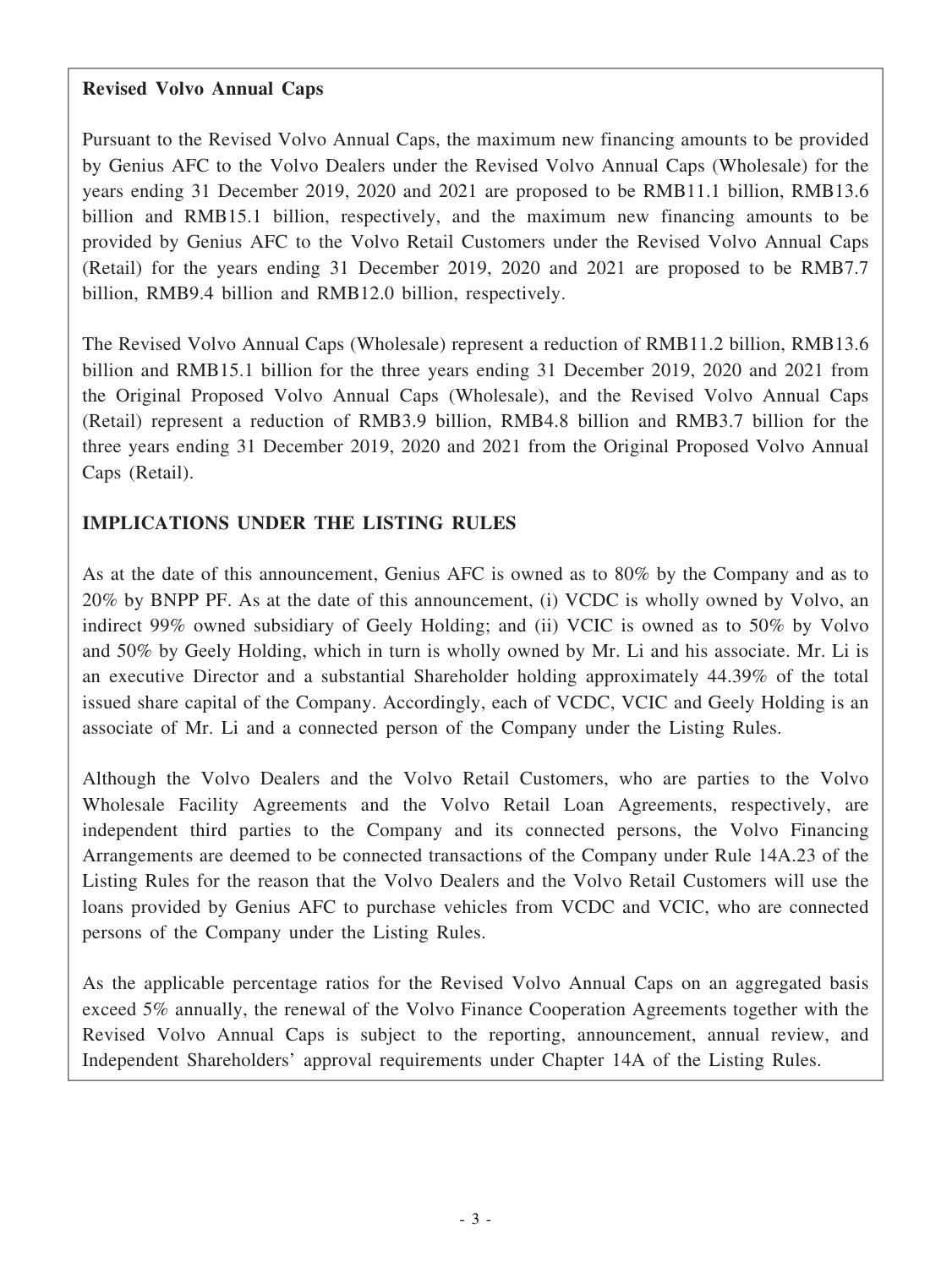#### **Revised Volvo Annual Caps**

Pursuant to the Revised Volvo Annual Caps, the maximum new financing amounts to be provided by Genius AFC to the Volvo Dealers under the Revised Volvo Annual Caps (Wholesale) for the years ending 31 December 2019, 2020 and 2021 are proposed to be RMB11.1 billion, RMB13.6 billion and RMB15.1 billion, respectively, and the maximum new financing amounts to be provided by Genius AFC to the Volvo Retail Customers under the Revised Volvo Annual Caps (Retail) for the years ending 31 December 2019, 2020 and 2021 are proposed to be RMB7.7 billion, RMB9.4 billion and RMB12.0 billion, respectively.

The Revised Volvo Annual Caps (Wholesale) represent a reduction of RMB11.2 billion, RMB13.6 billion and RMB15.1 billion for the three years ending 31 December 2019, 2020 and 2021 from the Original Proposed Volvo Annual Caps (Wholesale), and the Revised Volvo Annual Caps (Retail) represent a reduction of RMB3.9 billion, RMB4.8 billion and RMB3.7 billion for the three years ending 31 December 2019, 2020 and 2021 from the Original Proposed Volvo Annual Caps (Retail).

# **IMPLICATIONS UNDER THE LISTING RULES**

As at the date of this announcement, Genius AFC is owned as to 80% by the Company and as to 20% by BNPP PF. As at the date of this announcement, (i) VCDC is wholly owned by Volvo, an indirect 99% owned subsidiary of Geely Holding; and (ii) VCIC is owned as to 50% by Volvo and 50% by Geely Holding, which in turn is wholly owned by Mr. Li and his associate. Mr. Li is an executive Director and a substantial Shareholder holding approximately 44.39% of the total issued share capital of the Company. Accordingly, each of VCDC, VCIC and Geely Holding is an associate of Mr. Li and a connected person of the Company under the Listing Rules.

Although the Volvo Dealers and the Volvo Retail Customers, who are parties to the Volvo Wholesale Facility Agreements and the Volvo Retail Loan Agreements, respectively, are independent third parties to the Company and its connected persons, the Volvo Financing Arrangements are deemed to be connected transactions of the Company under Rule 14A.23 of the Listing Rules for the reason that the Volvo Dealers and the Volvo Retail Customers will use the loans provided by Genius AFC to purchase vehicles from VCDC and VCIC, who are connected persons of the Company under the Listing Rules.

As the applicable percentage ratios for the Revised Volvo Annual Caps on an aggregated basis exceed 5% annually, the renewal of the Volvo Finance Cooperation Agreements together with the Revised Volvo Annual Caps is subject to the reporting, announcement, annual review, and Independent Shareholders' approval requirements under Chapter 14A of the Listing Rules.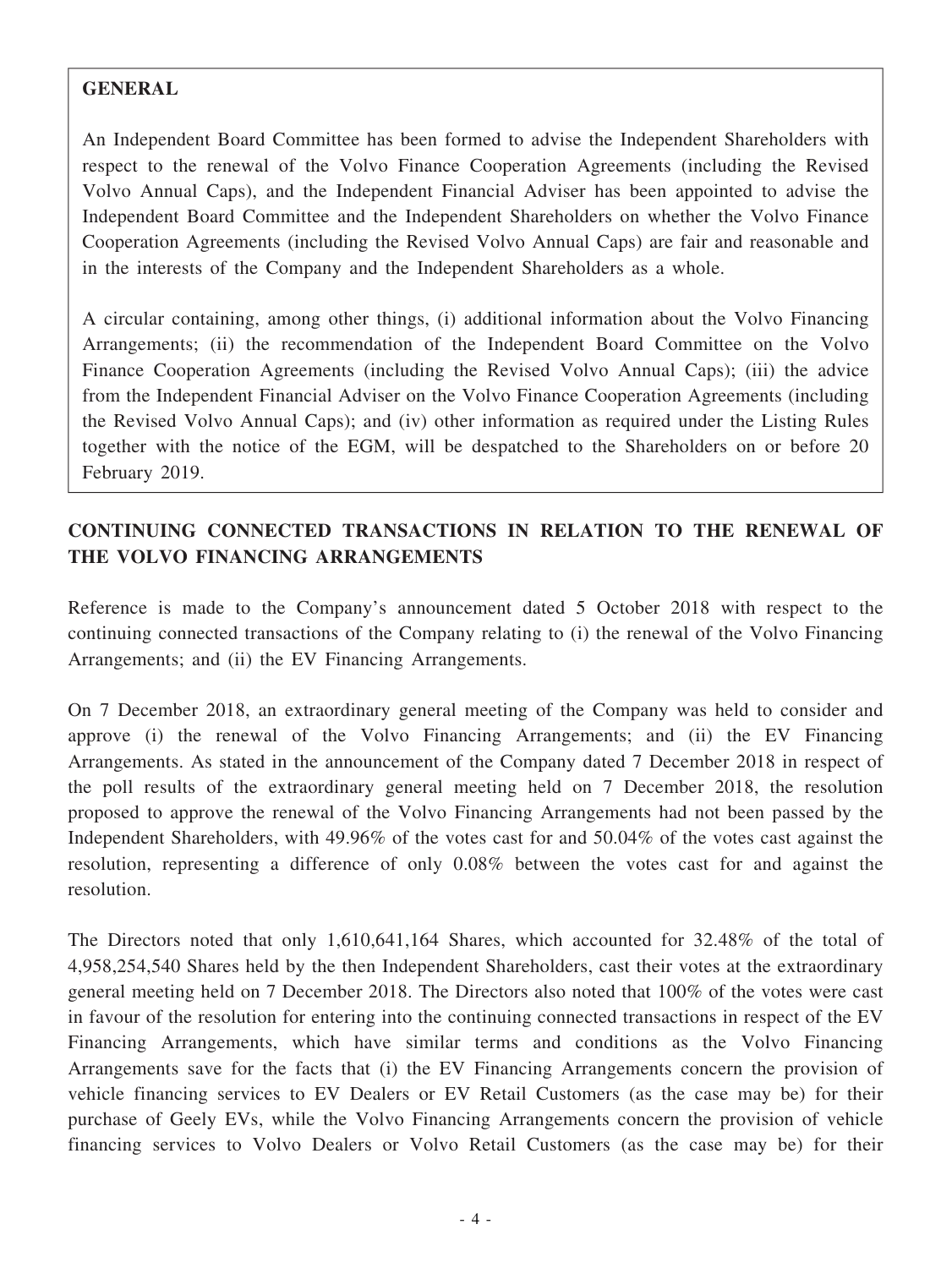#### **GENERAL**

An Independent Board Committee has been formed to advise the Independent Shareholders with respect to the renewal of the Volvo Finance Cooperation Agreements (including the Revised Volvo Annual Caps), and the Independent Financial Adviser has been appointed to advise the Independent Board Committee and the Independent Shareholders on whether the Volvo Finance Cooperation Agreements (including the Revised Volvo Annual Caps) are fair and reasonable and in the interests of the Company and the Independent Shareholders as a whole.

A circular containing, among other things, (i) additional information about the Volvo Financing Arrangements; (ii) the recommendation of the Independent Board Committee on the Volvo Finance Cooperation Agreements (including the Revised Volvo Annual Caps); (iii) the advice from the Independent Financial Adviser on the Volvo Finance Cooperation Agreements (including the Revised Volvo Annual Caps); and (iv) other information as required under the Listing Rules together with the notice of the EGM, will be despatched to the Shareholders on or before 20 February 2019.

# **CONTINUING CONNECTED TRANSACTIONS IN RELATION TO THE RENEWAL OF THE VOLVO FINANCING ARRANGEMENTS**

Reference is made to the Company's announcement dated 5 October 2018 with respect to the continuing connected transactions of the Company relating to (i) the renewal of the Volvo Financing Arrangements; and (ii) the EV Financing Arrangements.

On 7 December 2018, an extraordinary general meeting of the Company was held to consider and approve (i) the renewal of the Volvo Financing Arrangements; and (ii) the EV Financing Arrangements. As stated in the announcement of the Company dated 7 December 2018 in respect of the poll results of the extraordinary general meeting held on 7 December 2018, the resolution proposed to approve the renewal of the Volvo Financing Arrangements had not been passed by the Independent Shareholders, with 49.96% of the votes cast for and 50.04% of the votes cast against the resolution, representing a difference of only 0.08% between the votes cast for and against the resolution.

The Directors noted that only 1,610,641,164 Shares, which accounted for 32.48% of the total of 4,958,254,540 Shares held by the then Independent Shareholders, cast their votes at the extraordinary general meeting held on 7 December 2018. The Directors also noted that 100% of the votes were cast in favour of the resolution for entering into the continuing connected transactions in respect of the EV Financing Arrangements, which have similar terms and conditions as the Volvo Financing Arrangements save for the facts that (i) the EV Financing Arrangements concern the provision of vehicle financing services to EV Dealers or EV Retail Customers (as the case may be) for their purchase of Geely EVs, while the Volvo Financing Arrangements concern the provision of vehicle financing services to Volvo Dealers or Volvo Retail Customers (as the case may be) for their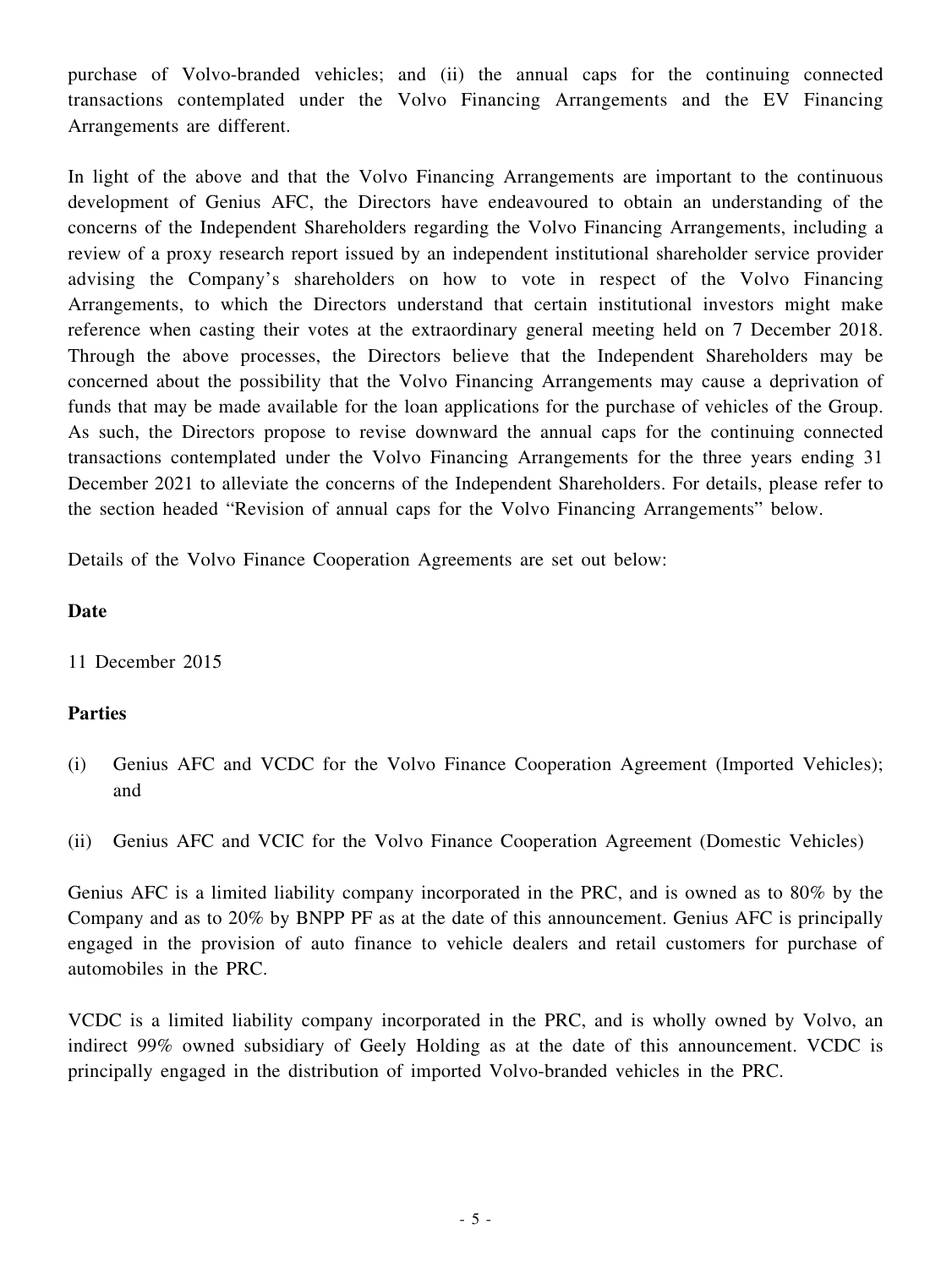purchase of Volvo-branded vehicles; and (ii) the annual caps for the continuing connected transactions contemplated under the Volvo Financing Arrangements and the EV Financing Arrangements are different.

In light of the above and that the Volvo Financing Arrangements are important to the continuous development of Genius AFC, the Directors have endeavoured to obtain an understanding of the concerns of the Independent Shareholders regarding the Volvo Financing Arrangements, including a review of a proxy research report issued by an independent institutional shareholder service provider advising the Company's shareholders on how to vote in respect of the Volvo Financing Arrangements, to which the Directors understand that certain institutional investors might make reference when casting their votes at the extraordinary general meeting held on 7 December 2018. Through the above processes, the Directors believe that the Independent Shareholders may be concerned about the possibility that the Volvo Financing Arrangements may cause a deprivation of funds that may be made available for the loan applications for the purchase of vehicles of the Group. As such, the Directors propose to revise downward the annual caps for the continuing connected transactions contemplated under the Volvo Financing Arrangements for the three years ending 31 December 2021 to alleviate the concerns of the Independent Shareholders. For details, please refer to the section headed "Revision of annual caps for the Volvo Financing Arrangements" below.

Details of the Volvo Finance Cooperation Agreements are set out below:

#### **Date**

11 December 2015

## **Parties**

- (i) Genius AFC and VCDC for the Volvo Finance Cooperation Agreement (Imported Vehicles); and
- (ii) Genius AFC and VCIC for the Volvo Finance Cooperation Agreement (Domestic Vehicles)

Genius AFC is a limited liability company incorporated in the PRC, and is owned as to 80% by the Company and as to 20% by BNPP PF as at the date of this announcement. Genius AFC is principally engaged in the provision of auto finance to vehicle dealers and retail customers for purchase of automobiles in the PRC.

VCDC is a limited liability company incorporated in the PRC, and is wholly owned by Volvo, an indirect 99% owned subsidiary of Geely Holding as at the date of this announcement. VCDC is principally engaged in the distribution of imported Volvo-branded vehicles in the PRC.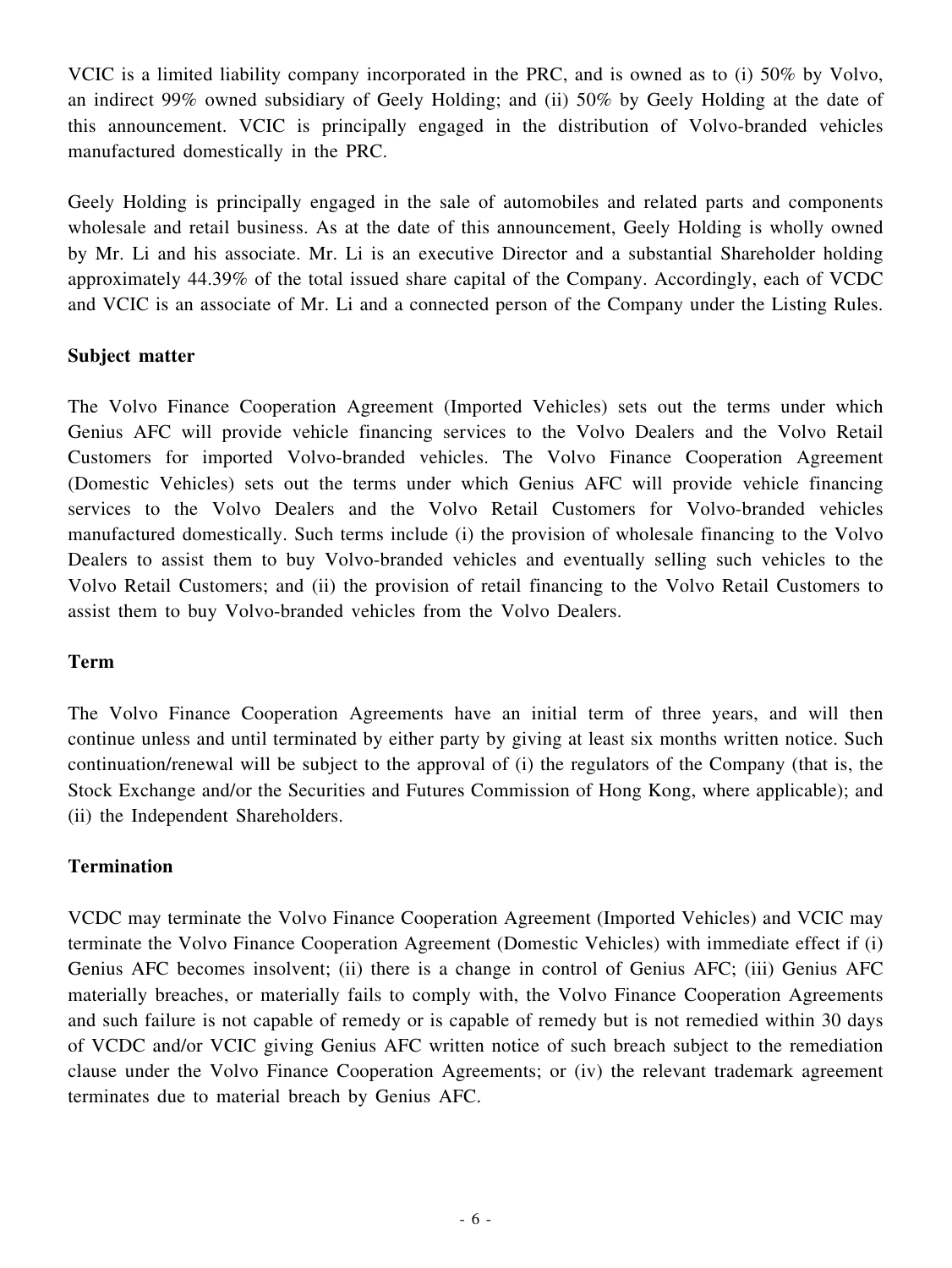VCIC is a limited liability company incorporated in the PRC, and is owned as to (i) 50% by Volvo, an indirect 99% owned subsidiary of Geely Holding; and (ii) 50% by Geely Holding at the date of this announcement. VCIC is principally engaged in the distribution of Volvo-branded vehicles manufactured domestically in the PRC.

Geely Holding is principally engaged in the sale of automobiles and related parts and components wholesale and retail business. As at the date of this announcement, Geely Holding is wholly owned by Mr. Li and his associate. Mr. Li is an executive Director and a substantial Shareholder holding approximately 44.39% of the total issued share capital of the Company. Accordingly, each of VCDC and VCIC is an associate of Mr. Li and a connected person of the Company under the Listing Rules.

## **Subject matter**

The Volvo Finance Cooperation Agreement (Imported Vehicles) sets out the terms under which Genius AFC will provide vehicle financing services to the Volvo Dealers and the Volvo Retail Customers for imported Volvo-branded vehicles. The Volvo Finance Cooperation Agreement (Domestic Vehicles) sets out the terms under which Genius AFC will provide vehicle financing services to the Volvo Dealers and the Volvo Retail Customers for Volvo-branded vehicles manufactured domestically. Such terms include (i) the provision of wholesale financing to the Volvo Dealers to assist them to buy Volvo-branded vehicles and eventually selling such vehicles to the Volvo Retail Customers; and (ii) the provision of retail financing to the Volvo Retail Customers to assist them to buy Volvo-branded vehicles from the Volvo Dealers.

## **Term**

The Volvo Finance Cooperation Agreements have an initial term of three years, and will then continue unless and until terminated by either party by giving at least six months written notice. Such continuation/renewal will be subject to the approval of (i) the regulators of the Company (that is, the Stock Exchange and/or the Securities and Futures Commission of Hong Kong, where applicable); and (ii) the Independent Shareholders.

## **Termination**

VCDC may terminate the Volvo Finance Cooperation Agreement (Imported Vehicles) and VCIC may terminate the Volvo Finance Cooperation Agreement (Domestic Vehicles) with immediate effect if (i) Genius AFC becomes insolvent; (ii) there is a change in control of Genius AFC; (iii) Genius AFC materially breaches, or materially fails to comply with, the Volvo Finance Cooperation Agreements and such failure is not capable of remedy or is capable of remedy but is not remedied within 30 days of VCDC and/or VCIC giving Genius AFC written notice of such breach subject to the remediation clause under the Volvo Finance Cooperation Agreements; or (iv) the relevant trademark agreement terminates due to material breach by Genius AFC.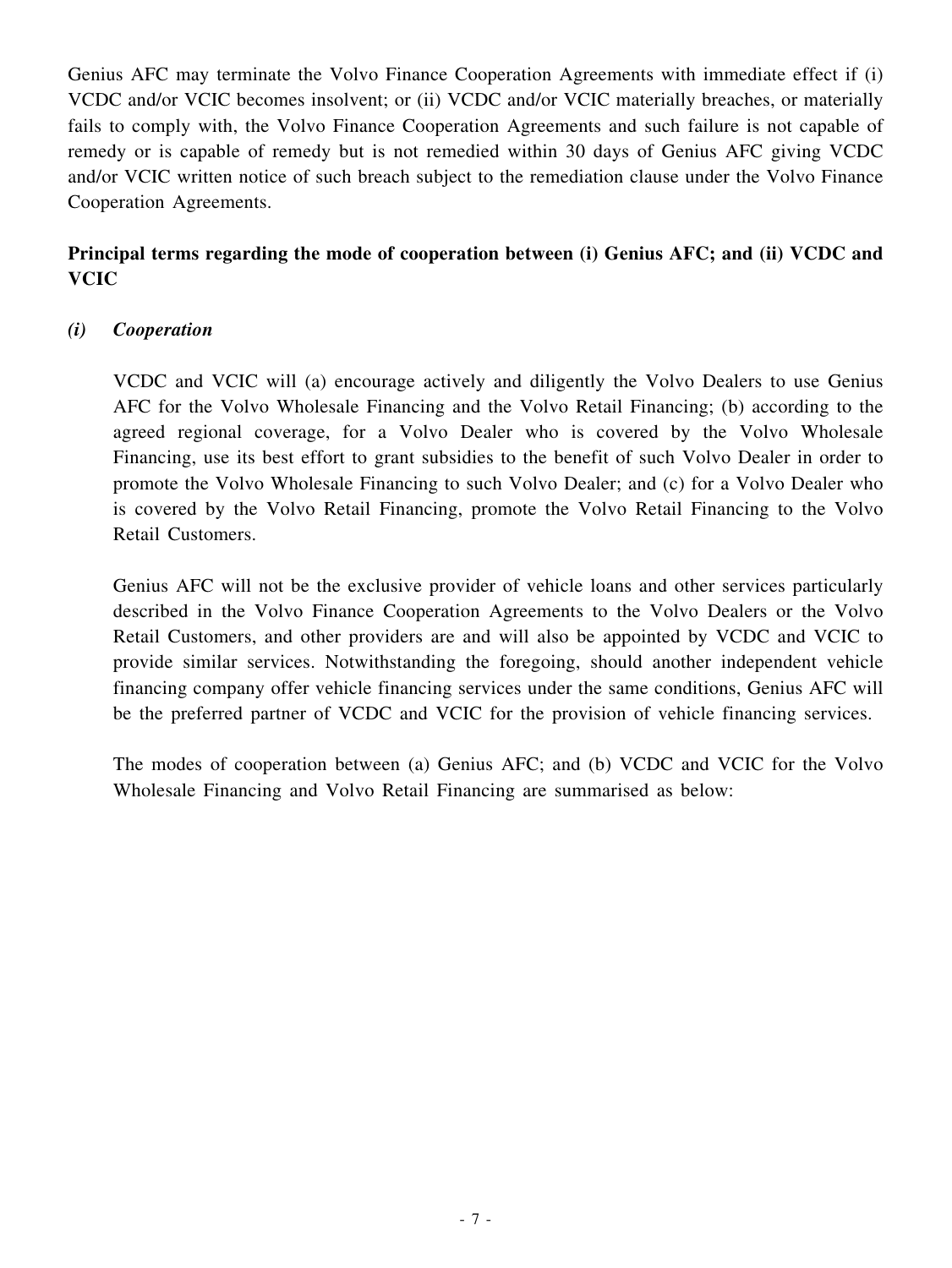Genius AFC may terminate the Volvo Finance Cooperation Agreements with immediate effect if (i) VCDC and/or VCIC becomes insolvent; or (ii) VCDC and/or VCIC materially breaches, or materially fails to comply with, the Volvo Finance Cooperation Agreements and such failure is not capable of remedy or is capable of remedy but is not remedied within 30 days of Genius AFC giving VCDC and/or VCIC written notice of such breach subject to the remediation clause under the Volvo Finance Cooperation Agreements.

# **Principal terms regarding the mode of cooperation between (i) Genius AFC; and (ii) VCDC and VCIC**

## *(i) Cooperation*

VCDC and VCIC will (a) encourage actively and diligently the Volvo Dealers to use Genius AFC for the Volvo Wholesale Financing and the Volvo Retail Financing; (b) according to the agreed regional coverage, for a Volvo Dealer who is covered by the Volvo Wholesale Financing, use its best effort to grant subsidies to the benefit of such Volvo Dealer in order to promote the Volvo Wholesale Financing to such Volvo Dealer; and (c) for a Volvo Dealer who is covered by the Volvo Retail Financing, promote the Volvo Retail Financing to the Volvo Retail Customers.

Genius AFC will not be the exclusive provider of vehicle loans and other services particularly described in the Volvo Finance Cooperation Agreements to the Volvo Dealers or the Volvo Retail Customers, and other providers are and will also be appointed by VCDC and VCIC to provide similar services. Notwithstanding the foregoing, should another independent vehicle financing company offer vehicle financing services under the same conditions, Genius AFC will be the preferred partner of VCDC and VCIC for the provision of vehicle financing services.

The modes of cooperation between (a) Genius AFC; and (b) VCDC and VCIC for the Volvo Wholesale Financing and Volvo Retail Financing are summarised as below: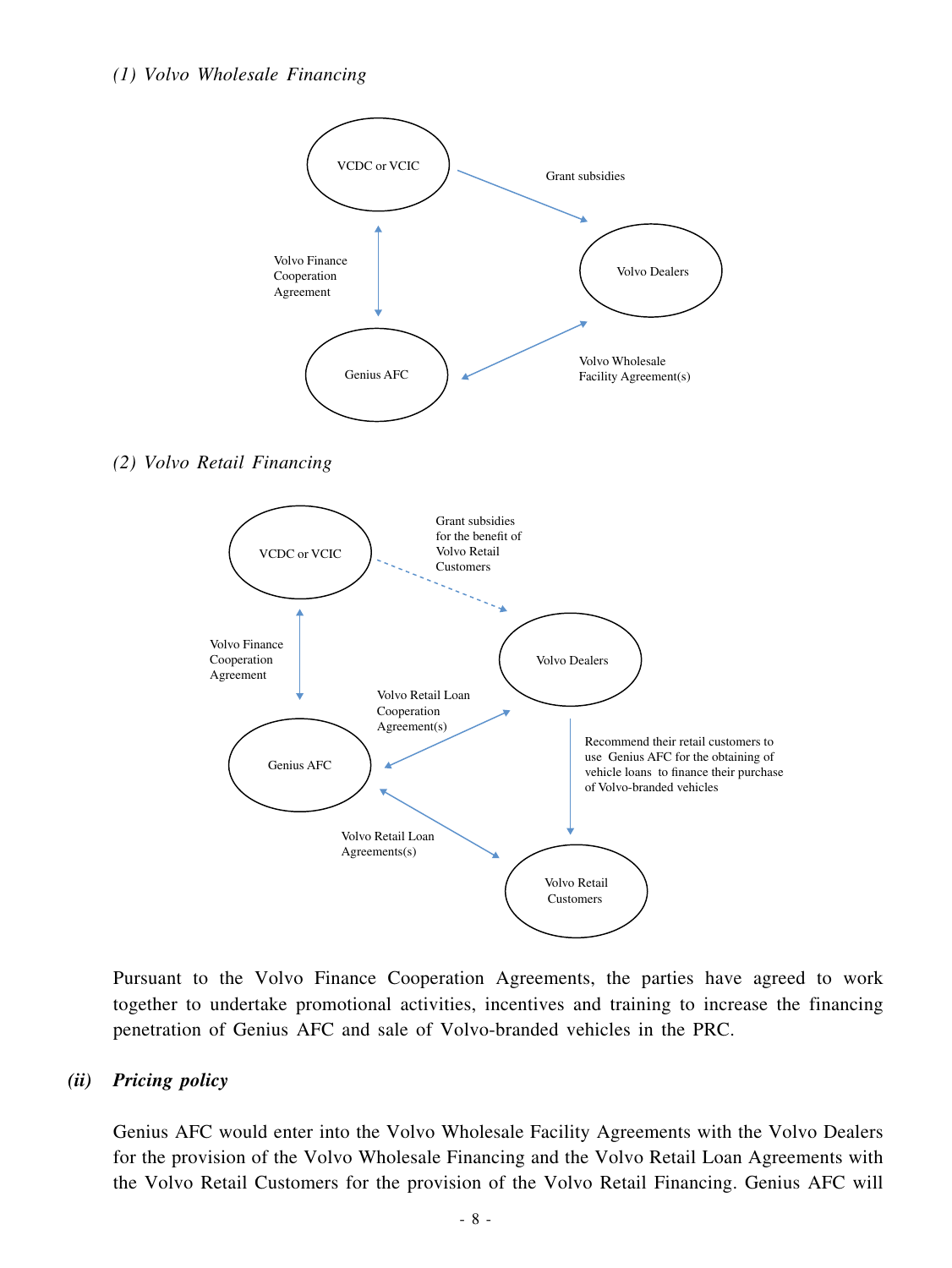#### *(1) Volvo Wholesale Financing*



*(2) Volvo Retail Financing*



Pursuant to the Volvo Finance Cooperation Agreements, the parties have agreed to work together to undertake promotional activities, incentives and training to increase the financing penetration of Genius AFC and sale of Volvo-branded vehicles in the PRC.

#### *(ii) Pricing policy*

Genius AFC would enter into the Volvo Wholesale Facility Agreements with the Volvo Dealers for the provision of the Volvo Wholesale Financing and the Volvo Retail Loan Agreements with the Volvo Retail Customers for the provision of the Volvo Retail Financing. Genius AFC will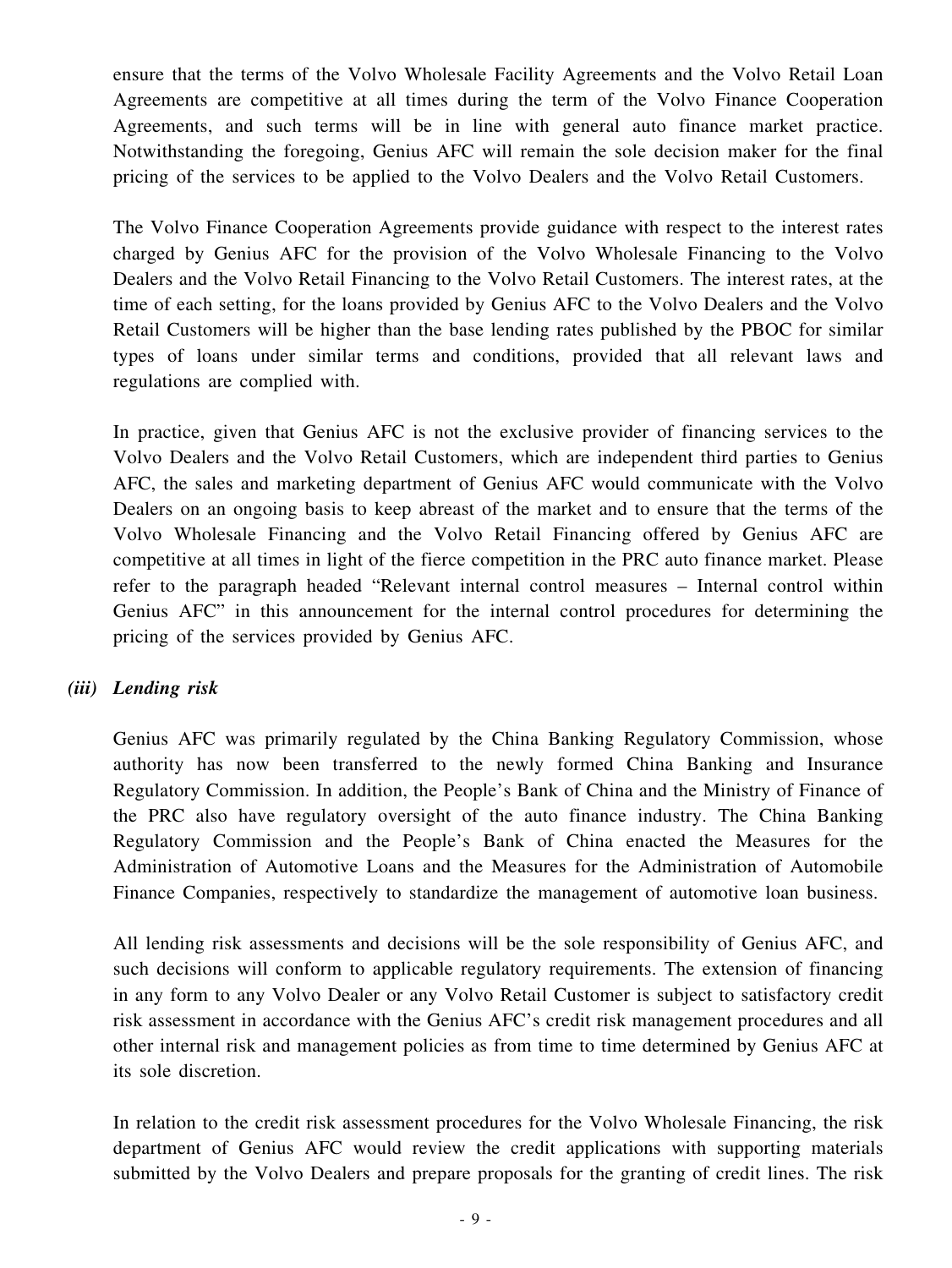ensure that the terms of the Volvo Wholesale Facility Agreements and the Volvo Retail Loan Agreements are competitive at all times during the term of the Volvo Finance Cooperation Agreements, and such terms will be in line with general auto finance market practice. Notwithstanding the foregoing, Genius AFC will remain the sole decision maker for the final pricing of the services to be applied to the Volvo Dealers and the Volvo Retail Customers.

The Volvo Finance Cooperation Agreements provide guidance with respect to the interest rates charged by Genius AFC for the provision of the Volvo Wholesale Financing to the Volvo Dealers and the Volvo Retail Financing to the Volvo Retail Customers. The interest rates, at the time of each setting, for the loans provided by Genius AFC to the Volvo Dealers and the Volvo Retail Customers will be higher than the base lending rates published by the PBOC for similar types of loans under similar terms and conditions, provided that all relevant laws and regulations are complied with.

In practice, given that Genius AFC is not the exclusive provider of financing services to the Volvo Dealers and the Volvo Retail Customers, which are independent third parties to Genius AFC, the sales and marketing department of Genius AFC would communicate with the Volvo Dealers on an ongoing basis to keep abreast of the market and to ensure that the terms of the Volvo Wholesale Financing and the Volvo Retail Financing offered by Genius AFC are competitive at all times in light of the fierce competition in the PRC auto finance market. Please refer to the paragraph headed "Relevant internal control measures – Internal control within Genius AFC" in this announcement for the internal control procedures for determining the pricing of the services provided by Genius AFC.

## *(iii) Lending risk*

Genius AFC was primarily regulated by the China Banking Regulatory Commission, whose authority has now been transferred to the newly formed China Banking and Insurance Regulatory Commission. In addition, the People's Bank of China and the Ministry of Finance of the PRC also have regulatory oversight of the auto finance industry. The China Banking Regulatory Commission and the People's Bank of China enacted the Measures for the Administration of Automotive Loans and the Measures for the Administration of Automobile Finance Companies, respectively to standardize the management of automotive loan business.

All lending risk assessments and decisions will be the sole responsibility of Genius AFC, and such decisions will conform to applicable regulatory requirements. The extension of financing in any form to any Volvo Dealer or any Volvo Retail Customer is subject to satisfactory credit risk assessment in accordance with the Genius AFC's credit risk management procedures and all other internal risk and management policies as from time to time determined by Genius AFC at its sole discretion.

In relation to the credit risk assessment procedures for the Volvo Wholesale Financing, the risk department of Genius AFC would review the credit applications with supporting materials submitted by the Volvo Dealers and prepare proposals for the granting of credit lines. The risk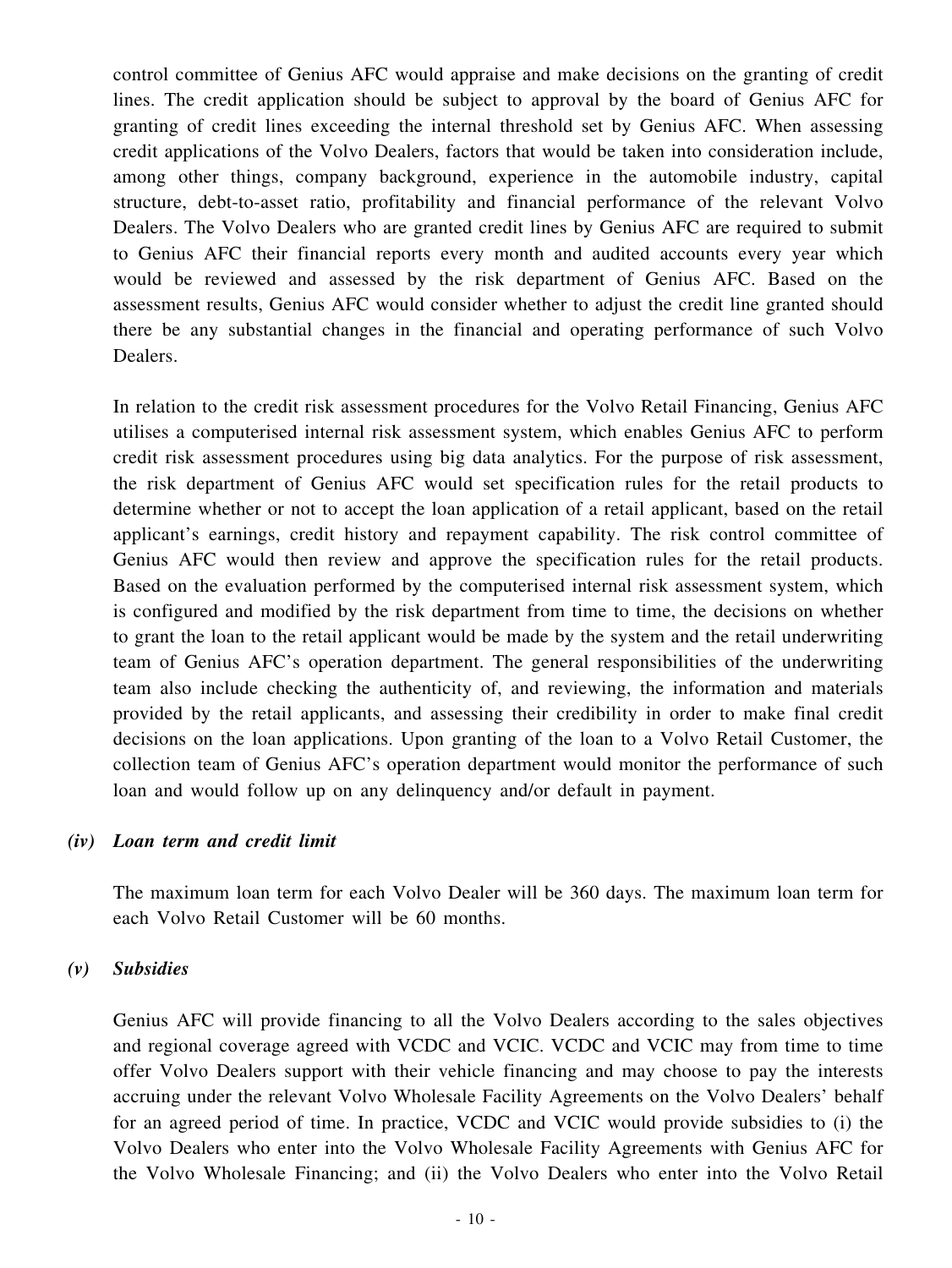control committee of Genius AFC would appraise and make decisions on the granting of credit lines. The credit application should be subject to approval by the board of Genius AFC for granting of credit lines exceeding the internal threshold set by Genius AFC. When assessing credit applications of the Volvo Dealers, factors that would be taken into consideration include, among other things, company background, experience in the automobile industry, capital structure, debt-to-asset ratio, profitability and financial performance of the relevant Volvo Dealers. The Volvo Dealers who are granted credit lines by Genius AFC are required to submit to Genius AFC their financial reports every month and audited accounts every year which would be reviewed and assessed by the risk department of Genius AFC. Based on the assessment results, Genius AFC would consider whether to adjust the credit line granted should there be any substantial changes in the financial and operating performance of such Volvo Dealers.

In relation to the credit risk assessment procedures for the Volvo Retail Financing, Genius AFC utilises a computerised internal risk assessment system, which enables Genius AFC to perform credit risk assessment procedures using big data analytics. For the purpose of risk assessment, the risk department of Genius AFC would set specification rules for the retail products to determine whether or not to accept the loan application of a retail applicant, based on the retail applicant's earnings, credit history and repayment capability. The risk control committee of Genius AFC would then review and approve the specification rules for the retail products. Based on the evaluation performed by the computerised internal risk assessment system, which is configured and modified by the risk department from time to time, the decisions on whether to grant the loan to the retail applicant would be made by the system and the retail underwriting team of Genius AFC's operation department. The general responsibilities of the underwriting team also include checking the authenticity of, and reviewing, the information and materials provided by the retail applicants, and assessing their credibility in order to make final credit decisions on the loan applications. Upon granting of the loan to a Volvo Retail Customer, the collection team of Genius AFC's operation department would monitor the performance of such loan and would follow up on any delinquency and/or default in payment.

#### *(iv) Loan term and credit limit*

The maximum loan term for each Volvo Dealer will be 360 days. The maximum loan term for each Volvo Retail Customer will be 60 months.

#### *(v) Subsidies*

Genius AFC will provide financing to all the Volvo Dealers according to the sales objectives and regional coverage agreed with VCDC and VCIC. VCDC and VCIC may from time to time offer Volvo Dealers support with their vehicle financing and may choose to pay the interests accruing under the relevant Volvo Wholesale Facility Agreements on the Volvo Dealers' behalf for an agreed period of time. In practice, VCDC and VCIC would provide subsidies to (i) the Volvo Dealers who enter into the Volvo Wholesale Facility Agreements with Genius AFC for the Volvo Wholesale Financing; and (ii) the Volvo Dealers who enter into the Volvo Retail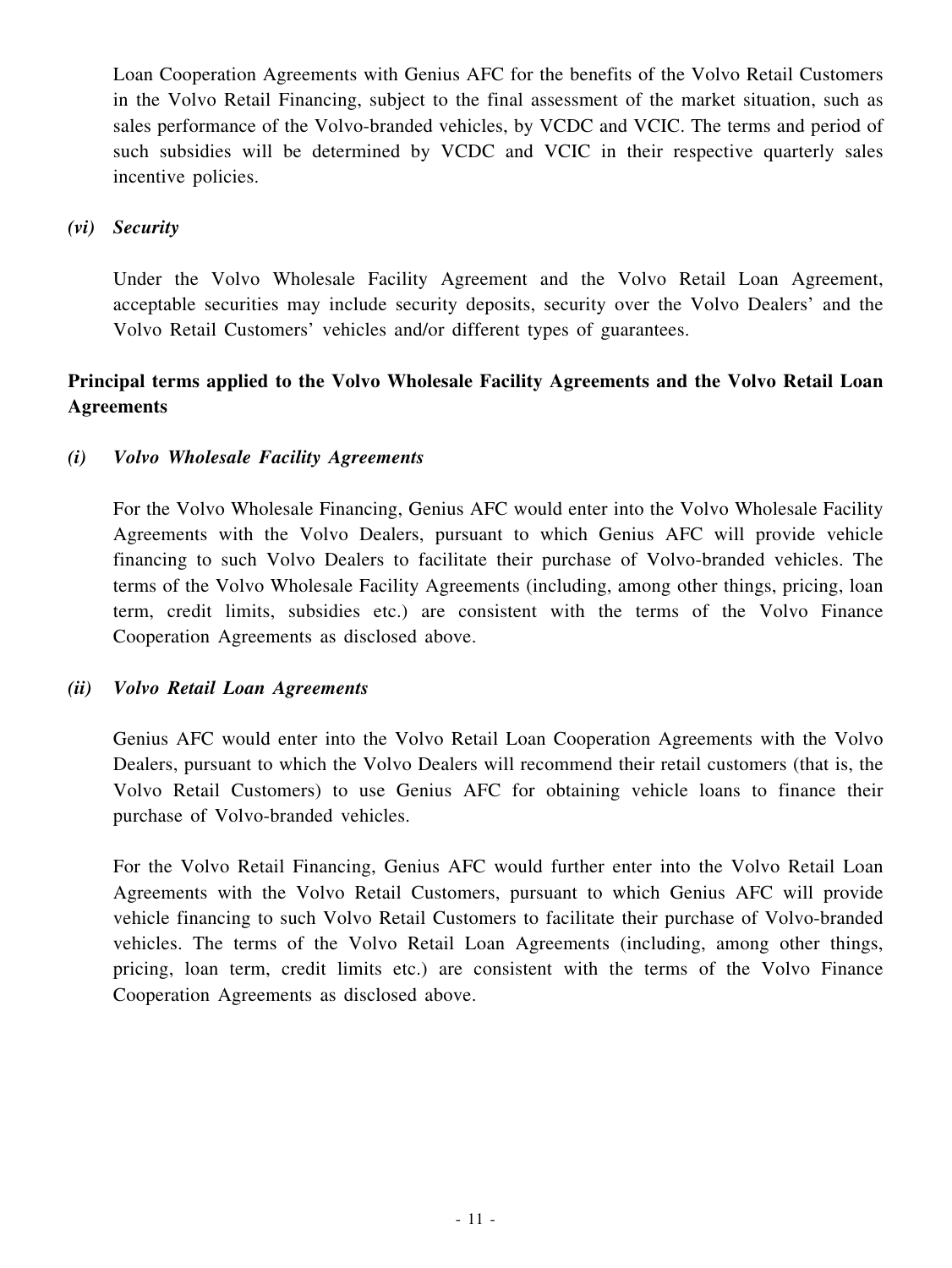Loan Cooperation Agreements with Genius AFC for the benefits of the Volvo Retail Customers in the Volvo Retail Financing, subject to the final assessment of the market situation, such as sales performance of the Volvo-branded vehicles, by VCDC and VCIC. The terms and period of such subsidies will be determined by VCDC and VCIC in their respective quarterly sales incentive policies.

#### *(vi) Security*

Under the Volvo Wholesale Facility Agreement and the Volvo Retail Loan Agreement, acceptable securities may include security deposits, security over the Volvo Dealers' and the Volvo Retail Customers' vehicles and/or different types of guarantees.

# **Principal terms applied to the Volvo Wholesale Facility Agreements and the Volvo Retail Loan Agreements**

## *(i) Volvo Wholesale Facility Agreements*

For the Volvo Wholesale Financing, Genius AFC would enter into the Volvo Wholesale Facility Agreements with the Volvo Dealers, pursuant to which Genius AFC will provide vehicle financing to such Volvo Dealers to facilitate their purchase of Volvo-branded vehicles. The terms of the Volvo Wholesale Facility Agreements (including, among other things, pricing, loan term, credit limits, subsidies etc.) are consistent with the terms of the Volvo Finance Cooperation Agreements as disclosed above.

#### *(ii) Volvo Retail Loan Agreements*

Genius AFC would enter into the Volvo Retail Loan Cooperation Agreements with the Volvo Dealers, pursuant to which the Volvo Dealers will recommend their retail customers (that is, the Volvo Retail Customers) to use Genius AFC for obtaining vehicle loans to finance their purchase of Volvo-branded vehicles.

For the Volvo Retail Financing, Genius AFC would further enter into the Volvo Retail Loan Agreements with the Volvo Retail Customers, pursuant to which Genius AFC will provide vehicle financing to such Volvo Retail Customers to facilitate their purchase of Volvo-branded vehicles. The terms of the Volvo Retail Loan Agreements (including, among other things, pricing, loan term, credit limits etc.) are consistent with the terms of the Volvo Finance Cooperation Agreements as disclosed above.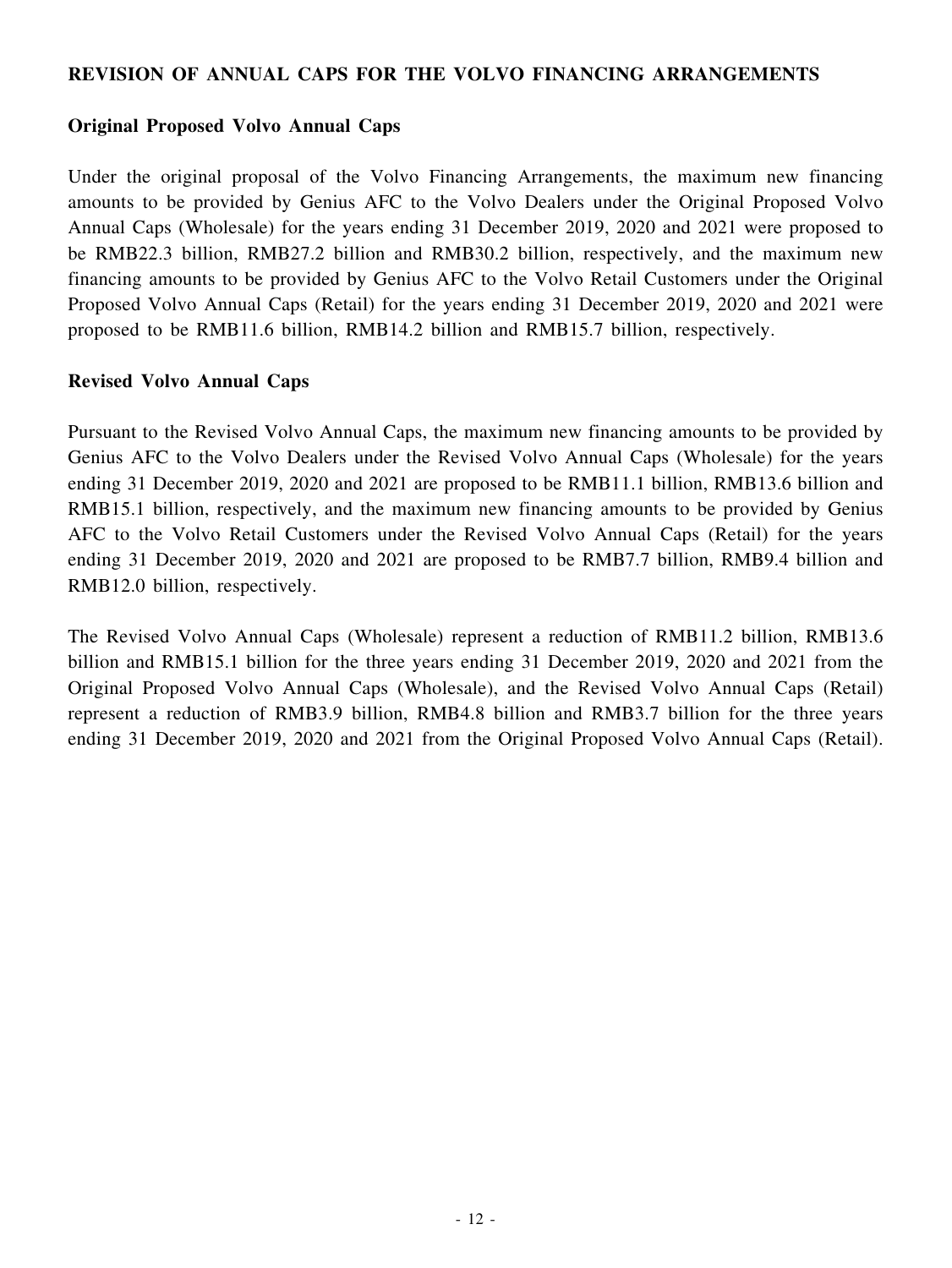#### **REVISION OF ANNUAL CAPS FOR THE VOLVO FINANCING ARRANGEMENTS**

#### **Original Proposed Volvo Annual Caps**

Under the original proposal of the Volvo Financing Arrangements, the maximum new financing amounts to be provided by Genius AFC to the Volvo Dealers under the Original Proposed Volvo Annual Caps (Wholesale) for the years ending 31 December 2019, 2020 and 2021 were proposed to be RMB22.3 billion, RMB27.2 billion and RMB30.2 billion, respectively, and the maximum new financing amounts to be provided by Genius AFC to the Volvo Retail Customers under the Original Proposed Volvo Annual Caps (Retail) for the years ending 31 December 2019, 2020 and 2021 were proposed to be RMB11.6 billion, RMB14.2 billion and RMB15.7 billion, respectively.

#### **Revised Volvo Annual Caps**

Pursuant to the Revised Volvo Annual Caps, the maximum new financing amounts to be provided by Genius AFC to the Volvo Dealers under the Revised Volvo Annual Caps (Wholesale) for the years ending 31 December 2019, 2020 and 2021 are proposed to be RMB11.1 billion, RMB13.6 billion and RMB15.1 billion, respectively, and the maximum new financing amounts to be provided by Genius AFC to the Volvo Retail Customers under the Revised Volvo Annual Caps (Retail) for the years ending 31 December 2019, 2020 and 2021 are proposed to be RMB7.7 billion, RMB9.4 billion and RMB12.0 billion, respectively.

The Revised Volvo Annual Caps (Wholesale) represent a reduction of RMB11.2 billion, RMB13.6 billion and RMB15.1 billion for the three years ending 31 December 2019, 2020 and 2021 from the Original Proposed Volvo Annual Caps (Wholesale), and the Revised Volvo Annual Caps (Retail) represent a reduction of RMB3.9 billion, RMB4.8 billion and RMB3.7 billion for the three years ending 31 December 2019, 2020 and 2021 from the Original Proposed Volvo Annual Caps (Retail).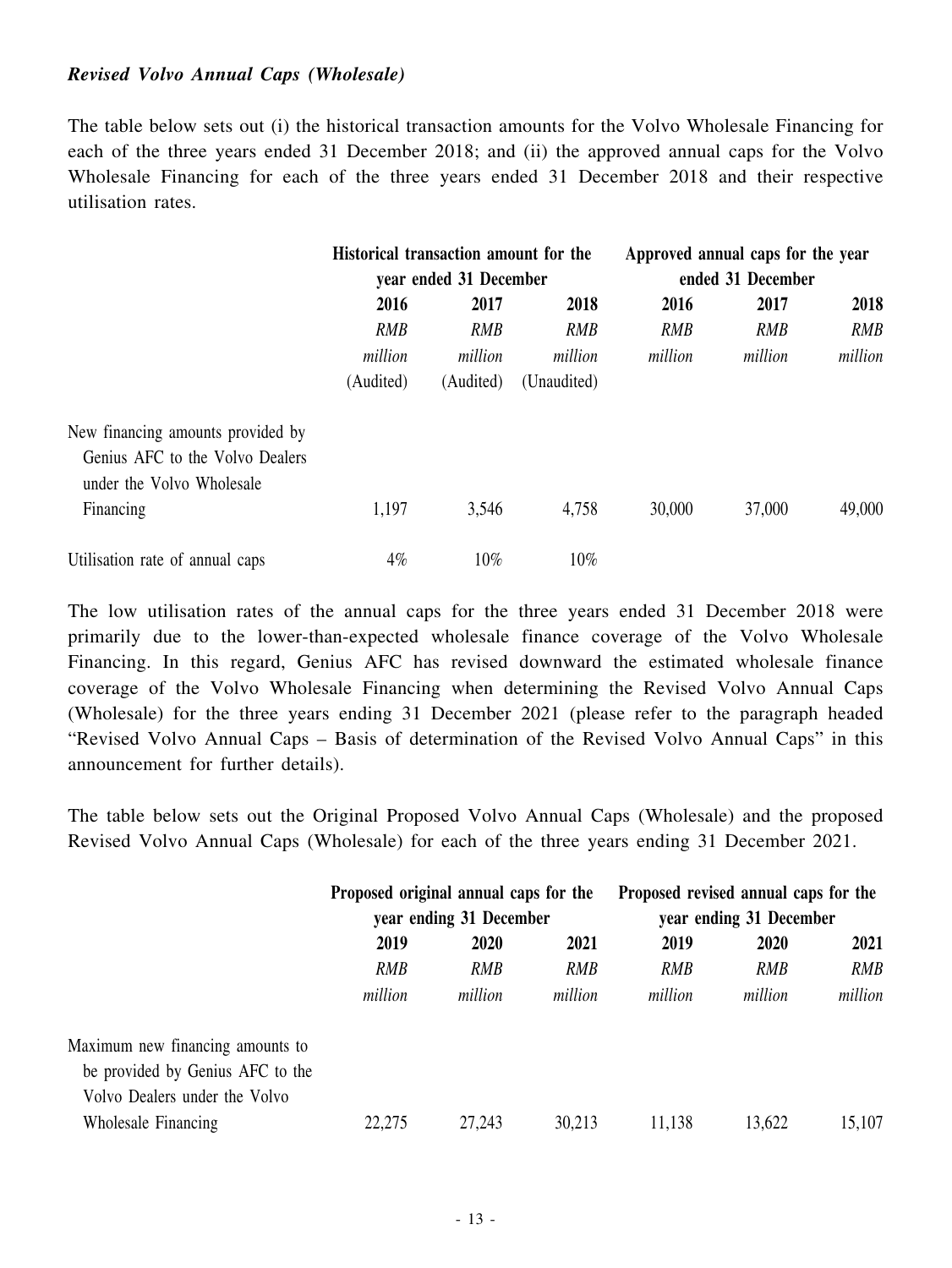#### *Revised Volvo Annual Caps (Wholesale)*

The table below sets out (i) the historical transaction amounts for the Volvo Wholesale Financing for each of the three years ended 31 December 2018; and (ii) the approved annual caps for the Volvo Wholesale Financing for each of the three years ended 31 December 2018 and their respective utilisation rates.

|                                   | Historical transaction amount for the<br>year ended 31 December |            |             | Approved annual caps for the year<br>ended 31 December |            |            |
|-----------------------------------|-----------------------------------------------------------------|------------|-------------|--------------------------------------------------------|------------|------------|
|                                   |                                                                 |            |             |                                                        |            |            |
|                                   | 2016                                                            | 2017       | 2018        | 2016                                                   | 2017       | 2018       |
|                                   | RMB                                                             | <b>RMB</b> | <b>RMB</b>  | RMB                                                    | <b>RMB</b> | <b>RMB</b> |
|                                   | million                                                         | million    | million     | million                                                | million    | million    |
|                                   | (Audited)                                                       | (Audited)  | (Unaudited) |                                                        |            |            |
| New financing amounts provided by |                                                                 |            |             |                                                        |            |            |
| Genius AFC to the Volvo Dealers   |                                                                 |            |             |                                                        |            |            |
| under the Volvo Wholesale         |                                                                 |            |             |                                                        |            |            |
| Financing                         | 1,197                                                           | 3,546      | 4,758       | 30,000                                                 | 37,000     | 49,000     |
| Utilisation rate of annual caps   | 4%                                                              | 10%        | $10\%$      |                                                        |            |            |

The low utilisation rates of the annual caps for the three years ended 31 December 2018 were primarily due to the lower-than-expected wholesale finance coverage of the Volvo Wholesale Financing. In this regard, Genius AFC has revised downward the estimated wholesale finance coverage of the Volvo Wholesale Financing when determining the Revised Volvo Annual Caps (Wholesale) for the three years ending 31 December 2021 (please refer to the paragraph headed "Revised Volvo Annual Caps – Basis of determination of the Revised Volvo Annual Caps" in this announcement for further details).

The table below sets out the Original Proposed Volvo Annual Caps (Wholesale) and the proposed Revised Volvo Annual Caps (Wholesale) for each of the three years ending 31 December 2021.

|                                  | Proposed original annual caps for the<br>year ending 31 December |              |         | Proposed revised annual caps for the<br>year ending 31 December |            |            |
|----------------------------------|------------------------------------------------------------------|--------------|---------|-----------------------------------------------------------------|------------|------------|
|                                  |                                                                  |              |         |                                                                 |            |            |
|                                  | 2019                                                             | 2021<br>2020 |         |                                                                 | 2020       | 2021       |
|                                  | <b>RMB</b>                                                       | <b>RMB</b>   | RMB     | <b>RMB</b>                                                      | <b>RMB</b> | <b>RMB</b> |
|                                  | million                                                          | million      | million | million                                                         | million    | million    |
| Maximum new financing amounts to |                                                                  |              |         |                                                                 |            |            |
| be provided by Genius AFC to the |                                                                  |              |         |                                                                 |            |            |
| Volvo Dealers under the Volvo    |                                                                  |              |         |                                                                 |            |            |
| Wholesale Financing              | 22,275                                                           | 27,243       | 30,213  | 11,138                                                          | 13,622     | 15,107     |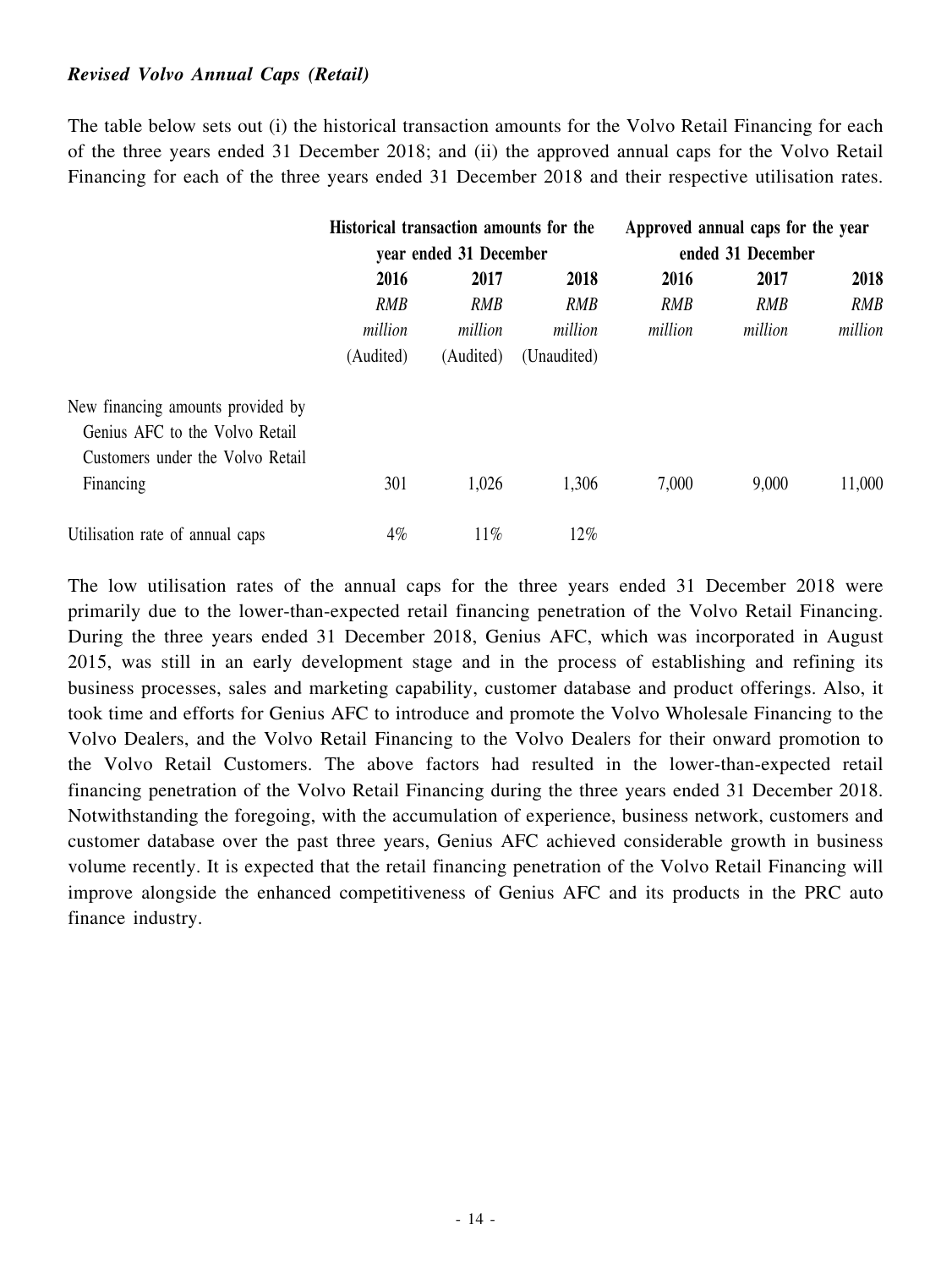#### *Revised Volvo Annual Caps (Retail)*

The table below sets out (i) the historical transaction amounts for the Volvo Retail Financing for each of the three years ended 31 December 2018; and (ii) the approved annual caps for the Volvo Retail Financing for each of the three years ended 31 December 2018 and their respective utilisation rates.

|                                   | Historical transaction amounts for the<br>year ended 31 December |            |             | Approved annual caps for the year<br>ended 31 December |            |            |
|-----------------------------------|------------------------------------------------------------------|------------|-------------|--------------------------------------------------------|------------|------------|
|                                   |                                                                  |            |             |                                                        |            |            |
|                                   | 2016                                                             | 2017       | 2018        | 2016                                                   | 2017       | 2018       |
|                                   | <b>RMB</b>                                                       | <b>RMB</b> | <b>RMB</b>  | <b>RMB</b>                                             | <b>RMB</b> | <b>RMB</b> |
|                                   | million                                                          | million    | million     | million                                                | million    | million    |
|                                   | (Audited)                                                        | (Audited)  | (Unaudited) |                                                        |            |            |
| New financing amounts provided by |                                                                  |            |             |                                                        |            |            |
| Genius AFC to the Volvo Retail    |                                                                  |            |             |                                                        |            |            |
| Customers under the Volvo Retail  |                                                                  |            |             |                                                        |            |            |
| Financing                         | 301                                                              | 1,026      | 1,306       | 7,000                                                  | 9,000      | 11,000     |
| Utilisation rate of annual caps   | 4%                                                               | 11%        | 12%         |                                                        |            |            |

The low utilisation rates of the annual caps for the three years ended 31 December 2018 were primarily due to the lower-than-expected retail financing penetration of the Volvo Retail Financing. During the three years ended 31 December 2018, Genius AFC, which was incorporated in August 2015, was still in an early development stage and in the process of establishing and refining its business processes, sales and marketing capability, customer database and product offerings. Also, it took time and efforts for Genius AFC to introduce and promote the Volvo Wholesale Financing to the Volvo Dealers, and the Volvo Retail Financing to the Volvo Dealers for their onward promotion to the Volvo Retail Customers. The above factors had resulted in the lower-than-expected retail financing penetration of the Volvo Retail Financing during the three years ended 31 December 2018. Notwithstanding the foregoing, with the accumulation of experience, business network, customers and customer database over the past three years, Genius AFC achieved considerable growth in business volume recently. It is expected that the retail financing penetration of the Volvo Retail Financing will improve alongside the enhanced competitiveness of Genius AFC and its products in the PRC auto finance industry.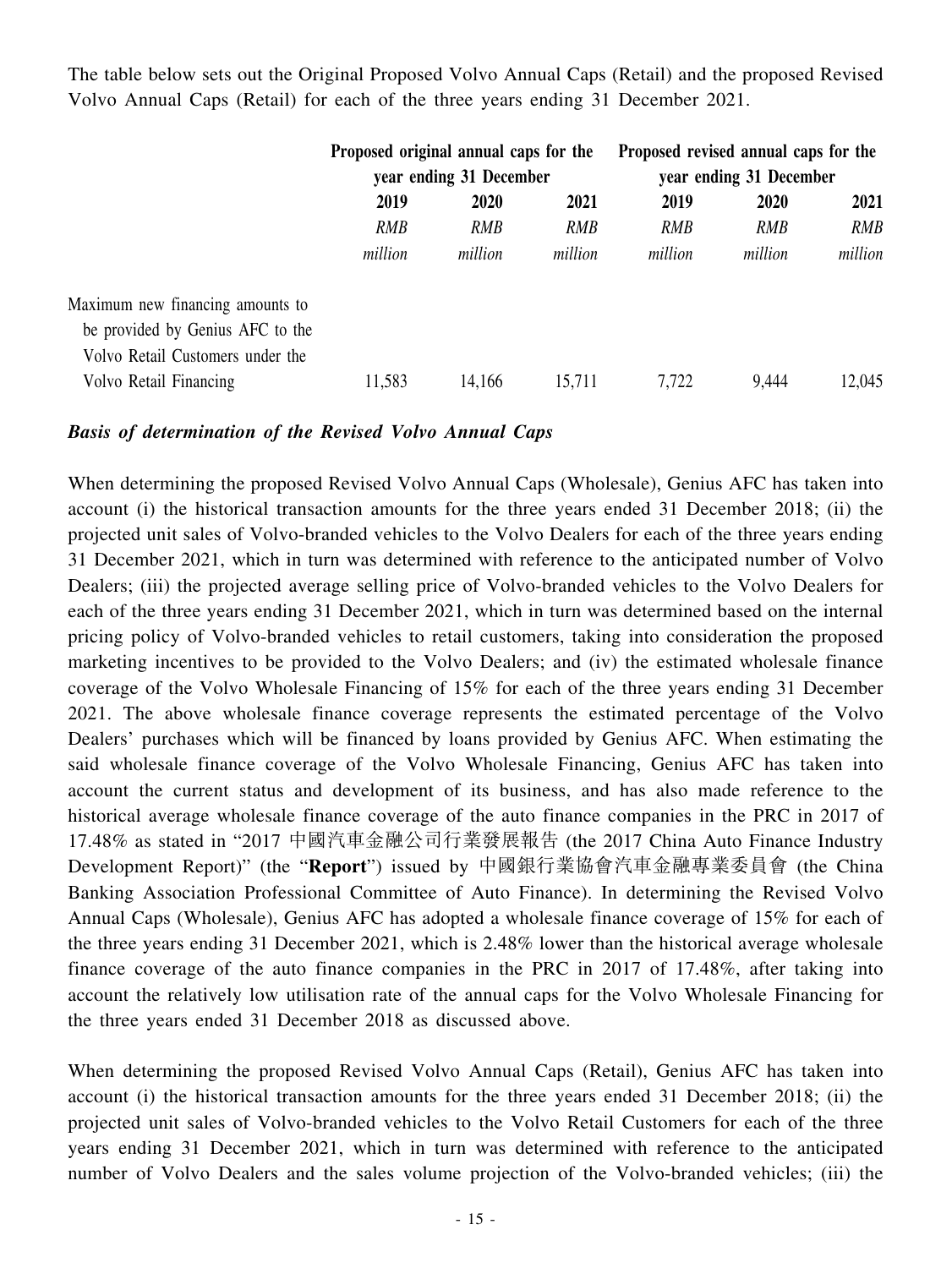The table below sets out the Original Proposed Volvo Annual Caps (Retail) and the proposed Revised Volvo Annual Caps (Retail) for each of the three years ending 31 December 2021.

|                                  | Proposed original annual caps for the<br>year ending 31 December |         |         | Proposed revised annual caps for the<br>year ending 31 December |             |            |
|----------------------------------|------------------------------------------------------------------|---------|---------|-----------------------------------------------------------------|-------------|------------|
|                                  |                                                                  |         |         |                                                                 |             |            |
|                                  | 2019<br>2020                                                     |         | 2021    | 2019                                                            | <b>2020</b> | 2021       |
|                                  | RMB                                                              | RMB     | RMB     | RMB                                                             | <b>RMB</b>  | <b>RMB</b> |
|                                  | million                                                          | million | million | million                                                         | million     | million    |
| Maximum new financing amounts to |                                                                  |         |         |                                                                 |             |            |
| be provided by Genius AFC to the |                                                                  |         |         |                                                                 |             |            |
| Volvo Retail Customers under the |                                                                  |         |         |                                                                 |             |            |
| Volvo Retail Financing           | 11,583                                                           | 14,166  | 15,711  | 7,722                                                           | 9,444       | 12,045     |

#### *Basis of determination of the Revised Volvo Annual Caps*

When determining the proposed Revised Volvo Annual Caps (Wholesale), Genius AFC has taken into account (i) the historical transaction amounts for the three years ended 31 December 2018; (ii) the projected unit sales of Volvo-branded vehicles to the Volvo Dealers for each of the three years ending 31 December 2021, which in turn was determined with reference to the anticipated number of Volvo Dealers; (iii) the projected average selling price of Volvo-branded vehicles to the Volvo Dealers for each of the three years ending 31 December 2021, which in turn was determined based on the internal pricing policy of Volvo-branded vehicles to retail customers, taking into consideration the proposed marketing incentives to be provided to the Volvo Dealers; and (iv) the estimated wholesale finance coverage of the Volvo Wholesale Financing of 15% for each of the three years ending 31 December 2021. The above wholesale finance coverage represents the estimated percentage of the Volvo Dealers' purchases which will be financed by loans provided by Genius AFC. When estimating the said wholesale finance coverage of the Volvo Wholesale Financing, Genius AFC has taken into account the current status and development of its business, and has also made reference to the historical average wholesale finance coverage of the auto finance companies in the PRC in 2017 of 17.48% as stated in "2017 中國汽車金融公司行業發展報告 (the 2017 China Auto Finance Industry Development Report)" (the "**Report**") issued by 中國銀行業協會汽車金融專業委員會 (the China Banking Association Professional Committee of Auto Finance). In determining the Revised Volvo Annual Caps (Wholesale), Genius AFC has adopted a wholesale finance coverage of 15% for each of the three years ending 31 December 2021, which is 2.48% lower than the historical average wholesale finance coverage of the auto finance companies in the PRC in 2017 of 17.48%, after taking into account the relatively low utilisation rate of the annual caps for the Volvo Wholesale Financing for the three years ended 31 December 2018 as discussed above.

When determining the proposed Revised Volvo Annual Caps (Retail), Genius AFC has taken into account (i) the historical transaction amounts for the three years ended 31 December 2018; (ii) the projected unit sales of Volvo-branded vehicles to the Volvo Retail Customers for each of the three years ending 31 December 2021, which in turn was determined with reference to the anticipated number of Volvo Dealers and the sales volume projection of the Volvo-branded vehicles; (iii) the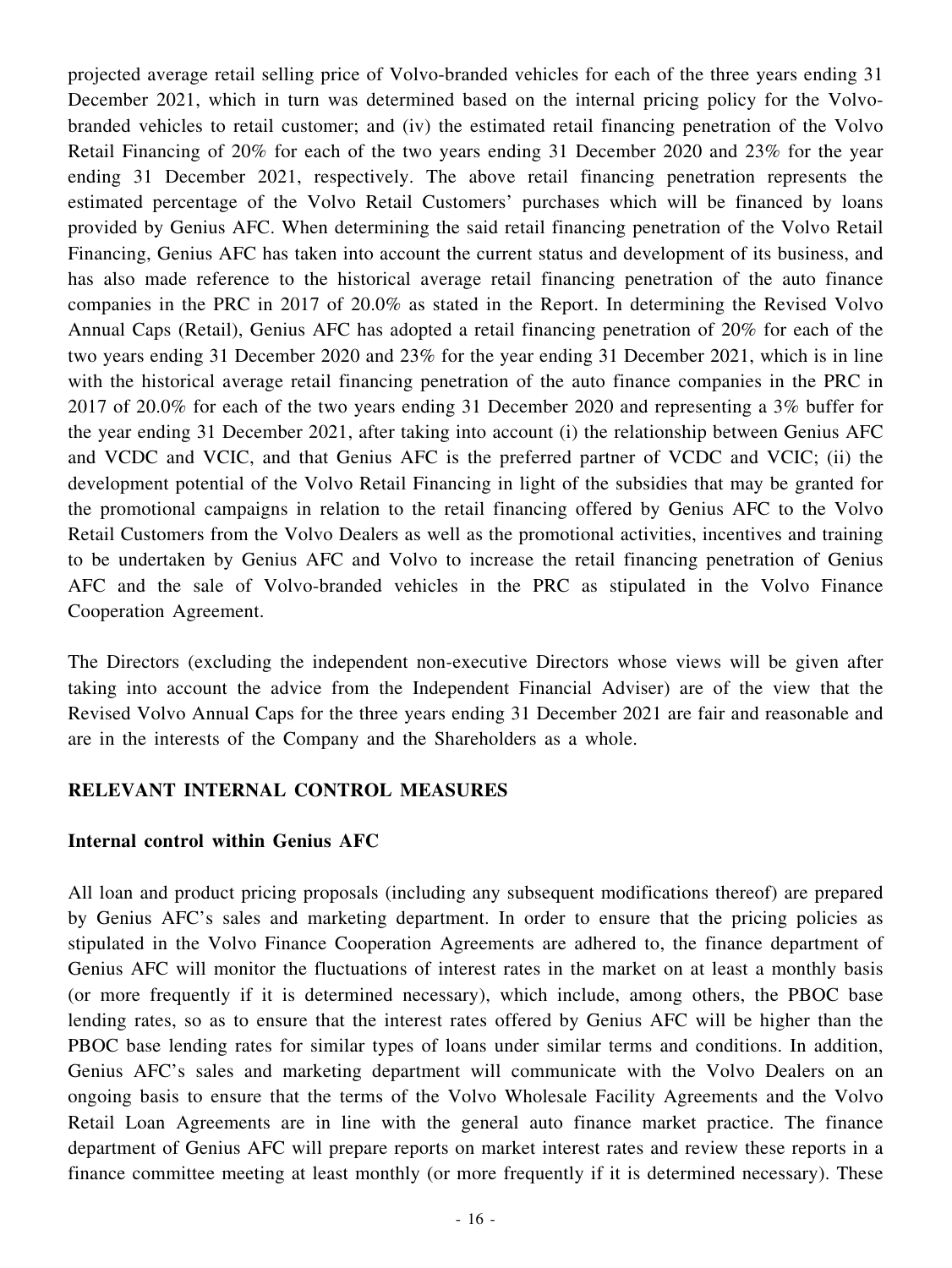projected average retail selling price of Volvo-branded vehicles for each of the three years ending 31 December 2021, which in turn was determined based on the internal pricing policy for the Volvobranded vehicles to retail customer; and (iv) the estimated retail financing penetration of the Volvo Retail Financing of 20% for each of the two years ending 31 December 2020 and 23% for the year ending 31 December 2021, respectively. The above retail financing penetration represents the estimated percentage of the Volvo Retail Customers' purchases which will be financed by loans provided by Genius AFC. When determining the said retail financing penetration of the Volvo Retail Financing, Genius AFC has taken into account the current status and development of its business, and has also made reference to the historical average retail financing penetration of the auto finance companies in the PRC in 2017 of 20.0% as stated in the Report. In determining the Revised Volvo Annual Caps (Retail), Genius AFC has adopted a retail financing penetration of 20% for each of the two years ending 31 December 2020 and 23% for the year ending 31 December 2021, which is in line with the historical average retail financing penetration of the auto finance companies in the PRC in 2017 of 20.0% for each of the two years ending 31 December 2020 and representing a 3% buffer for the year ending 31 December 2021, after taking into account (i) the relationship between Genius AFC and VCDC and VCIC, and that Genius AFC is the preferred partner of VCDC and VCIC; (ii) the development potential of the Volvo Retail Financing in light of the subsidies that may be granted for the promotional campaigns in relation to the retail financing offered by Genius AFC to the Volvo Retail Customers from the Volvo Dealers as well as the promotional activities, incentives and training to be undertaken by Genius AFC and Volvo to increase the retail financing penetration of Genius AFC and the sale of Volvo-branded vehicles in the PRC as stipulated in the Volvo Finance Cooperation Agreement.

The Directors (excluding the independent non-executive Directors whose views will be given after taking into account the advice from the Independent Financial Adviser) are of the view that the Revised Volvo Annual Caps for the three years ending 31 December 2021 are fair and reasonable and are in the interests of the Company and the Shareholders as a whole.

## **RELEVANT INTERNAL CONTROL MEASURES**

#### **Internal control within Genius AFC**

All loan and product pricing proposals (including any subsequent modifications thereof) are prepared by Genius AFC's sales and marketing department. In order to ensure that the pricing policies as stipulated in the Volvo Finance Cooperation Agreements are adhered to, the finance department of Genius AFC will monitor the fluctuations of interest rates in the market on at least a monthly basis (or more frequently if it is determined necessary), which include, among others, the PBOC base lending rates, so as to ensure that the interest rates offered by Genius AFC will be higher than the PBOC base lending rates for similar types of loans under similar terms and conditions. In addition, Genius AFC's sales and marketing department will communicate with the Volvo Dealers on an ongoing basis to ensure that the terms of the Volvo Wholesale Facility Agreements and the Volvo Retail Loan Agreements are in line with the general auto finance market practice. The finance department of Genius AFC will prepare reports on market interest rates and review these reports in a finance committee meeting at least monthly (or more frequently if it is determined necessary). These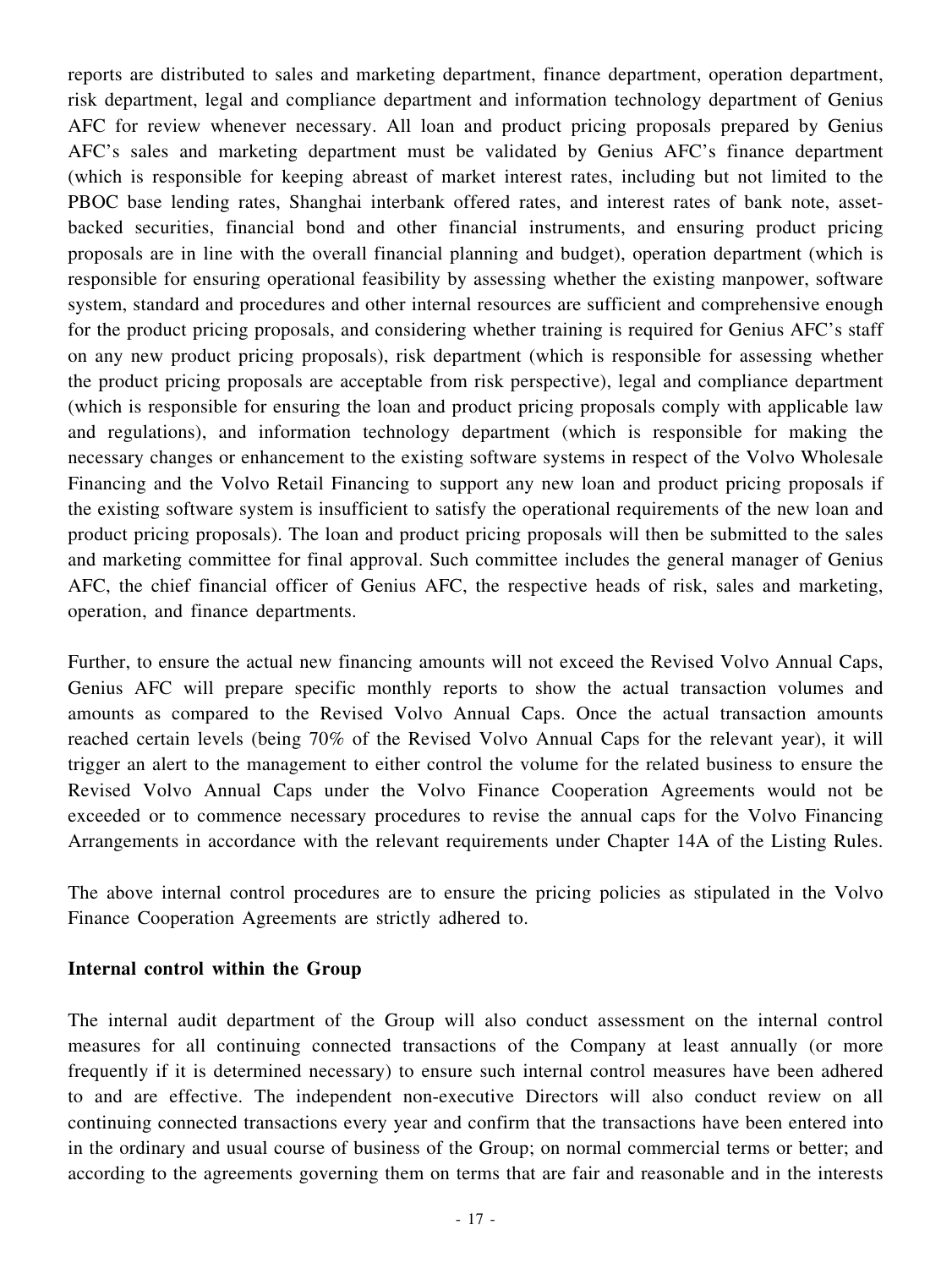reports are distributed to sales and marketing department, finance department, operation department, risk department, legal and compliance department and information technology department of Genius AFC for review whenever necessary. All loan and product pricing proposals prepared by Genius AFC's sales and marketing department must be validated by Genius AFC's finance department (which is responsible for keeping abreast of market interest rates, including but not limited to the PBOC base lending rates, Shanghai interbank offered rates, and interest rates of bank note, assetbacked securities, financial bond and other financial instruments, and ensuring product pricing proposals are in line with the overall financial planning and budget), operation department (which is responsible for ensuring operational feasibility by assessing whether the existing manpower, software system, standard and procedures and other internal resources are sufficient and comprehensive enough for the product pricing proposals, and considering whether training is required for Genius AFC's staff on any new product pricing proposals), risk department (which is responsible for assessing whether the product pricing proposals are acceptable from risk perspective), legal and compliance department (which is responsible for ensuring the loan and product pricing proposals comply with applicable law and regulations), and information technology department (which is responsible for making the necessary changes or enhancement to the existing software systems in respect of the Volvo Wholesale Financing and the Volvo Retail Financing to support any new loan and product pricing proposals if the existing software system is insufficient to satisfy the operational requirements of the new loan and product pricing proposals). The loan and product pricing proposals will then be submitted to the sales and marketing committee for final approval. Such committee includes the general manager of Genius AFC, the chief financial officer of Genius AFC, the respective heads of risk, sales and marketing, operation, and finance departments.

Further, to ensure the actual new financing amounts will not exceed the Revised Volvo Annual Caps, Genius AFC will prepare specific monthly reports to show the actual transaction volumes and amounts as compared to the Revised Volvo Annual Caps. Once the actual transaction amounts reached certain levels (being 70% of the Revised Volvo Annual Caps for the relevant year), it will trigger an alert to the management to either control the volume for the related business to ensure the Revised Volvo Annual Caps under the Volvo Finance Cooperation Agreements would not be exceeded or to commence necessary procedures to revise the annual caps for the Volvo Financing Arrangements in accordance with the relevant requirements under Chapter 14A of the Listing Rules.

The above internal control procedures are to ensure the pricing policies as stipulated in the Volvo Finance Cooperation Agreements are strictly adhered to.

#### **Internal control within the Group**

The internal audit department of the Group will also conduct assessment on the internal control measures for all continuing connected transactions of the Company at least annually (or more frequently if it is determined necessary) to ensure such internal control measures have been adhered to and are effective. The independent non-executive Directors will also conduct review on all continuing connected transactions every year and confirm that the transactions have been entered into in the ordinary and usual course of business of the Group; on normal commercial terms or better; and according to the agreements governing them on terms that are fair and reasonable and in the interests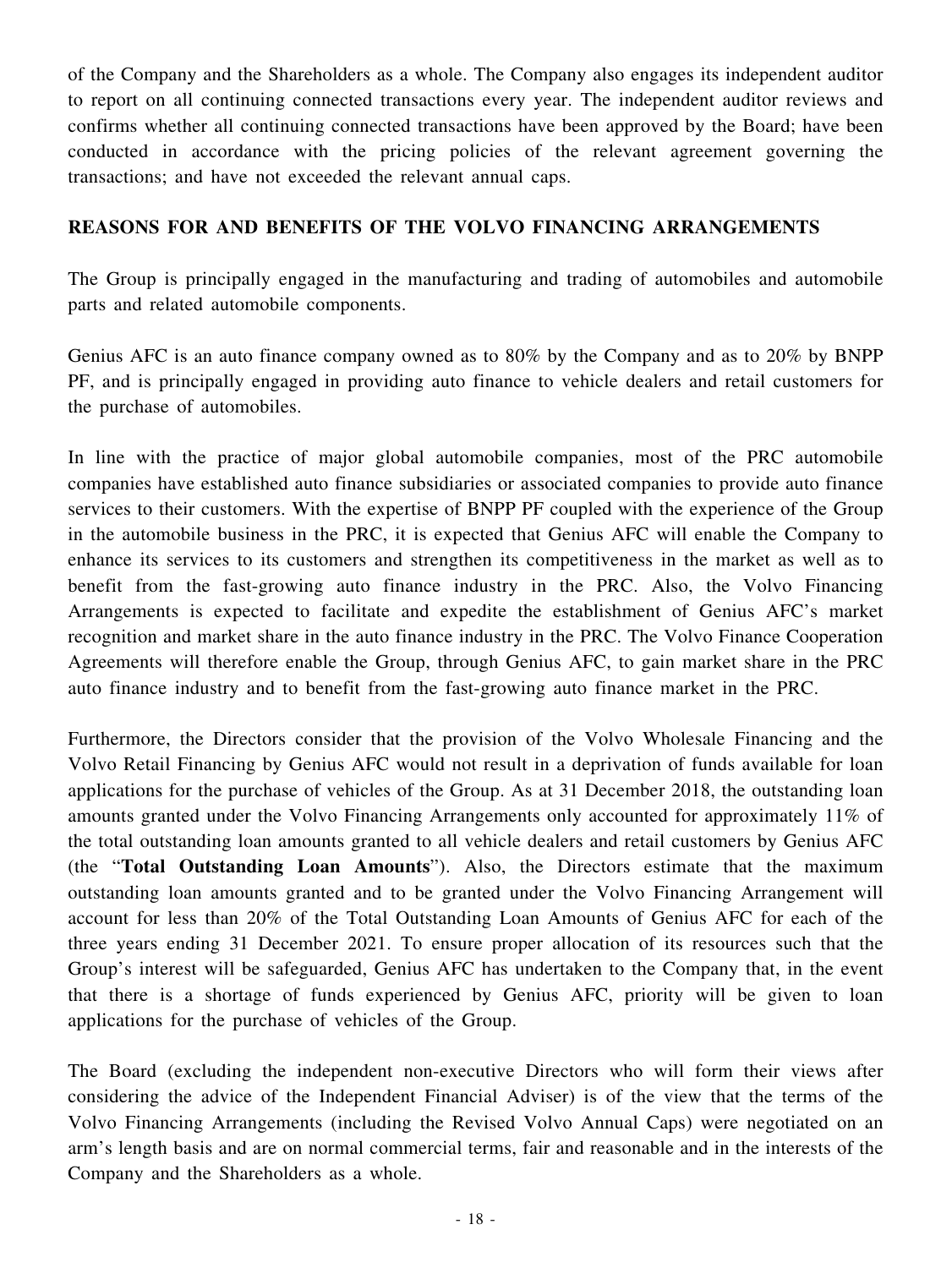of the Company and the Shareholders as a whole. The Company also engages its independent auditor to report on all continuing connected transactions every year. The independent auditor reviews and confirms whether all continuing connected transactions have been approved by the Board; have been conducted in accordance with the pricing policies of the relevant agreement governing the transactions; and have not exceeded the relevant annual caps.

# **REASONS FOR AND BENEFITS OF THE VOLVO FINANCING ARRANGEMENTS**

The Group is principally engaged in the manufacturing and trading of automobiles and automobile parts and related automobile components.

Genius AFC is an auto finance company owned as to 80% by the Company and as to 20% by BNPP PF, and is principally engaged in providing auto finance to vehicle dealers and retail customers for the purchase of automobiles.

In line with the practice of major global automobile companies, most of the PRC automobile companies have established auto finance subsidiaries or associated companies to provide auto finance services to their customers. With the expertise of BNPP PF coupled with the experience of the Group in the automobile business in the PRC, it is expected that Genius AFC will enable the Company to enhance its services to its customers and strengthen its competitiveness in the market as well as to benefit from the fast-growing auto finance industry in the PRC. Also, the Volvo Financing Arrangements is expected to facilitate and expedite the establishment of Genius AFC's market recognition and market share in the auto finance industry in the PRC. The Volvo Finance Cooperation Agreements will therefore enable the Group, through Genius AFC, to gain market share in the PRC auto finance industry and to benefit from the fast-growing auto finance market in the PRC.

Furthermore, the Directors consider that the provision of the Volvo Wholesale Financing and the Volvo Retail Financing by Genius AFC would not result in a deprivation of funds available for loan applications for the purchase of vehicles of the Group. As at 31 December 2018, the outstanding loan amounts granted under the Volvo Financing Arrangements only accounted for approximately 11% of the total outstanding loan amounts granted to all vehicle dealers and retail customers by Genius AFC (the "**Total Outstanding Loan Amounts**"). Also, the Directors estimate that the maximum outstanding loan amounts granted and to be granted under the Volvo Financing Arrangement will account for less than 20% of the Total Outstanding Loan Amounts of Genius AFC for each of the three years ending 31 December 2021. To ensure proper allocation of its resources such that the Group's interest will be safeguarded, Genius AFC has undertaken to the Company that, in the event that there is a shortage of funds experienced by Genius AFC, priority will be given to loan applications for the purchase of vehicles of the Group.

The Board (excluding the independent non-executive Directors who will form their views after considering the advice of the Independent Financial Adviser) is of the view that the terms of the Volvo Financing Arrangements (including the Revised Volvo Annual Caps) were negotiated on an arm's length basis and are on normal commercial terms, fair and reasonable and in the interests of the Company and the Shareholders as a whole.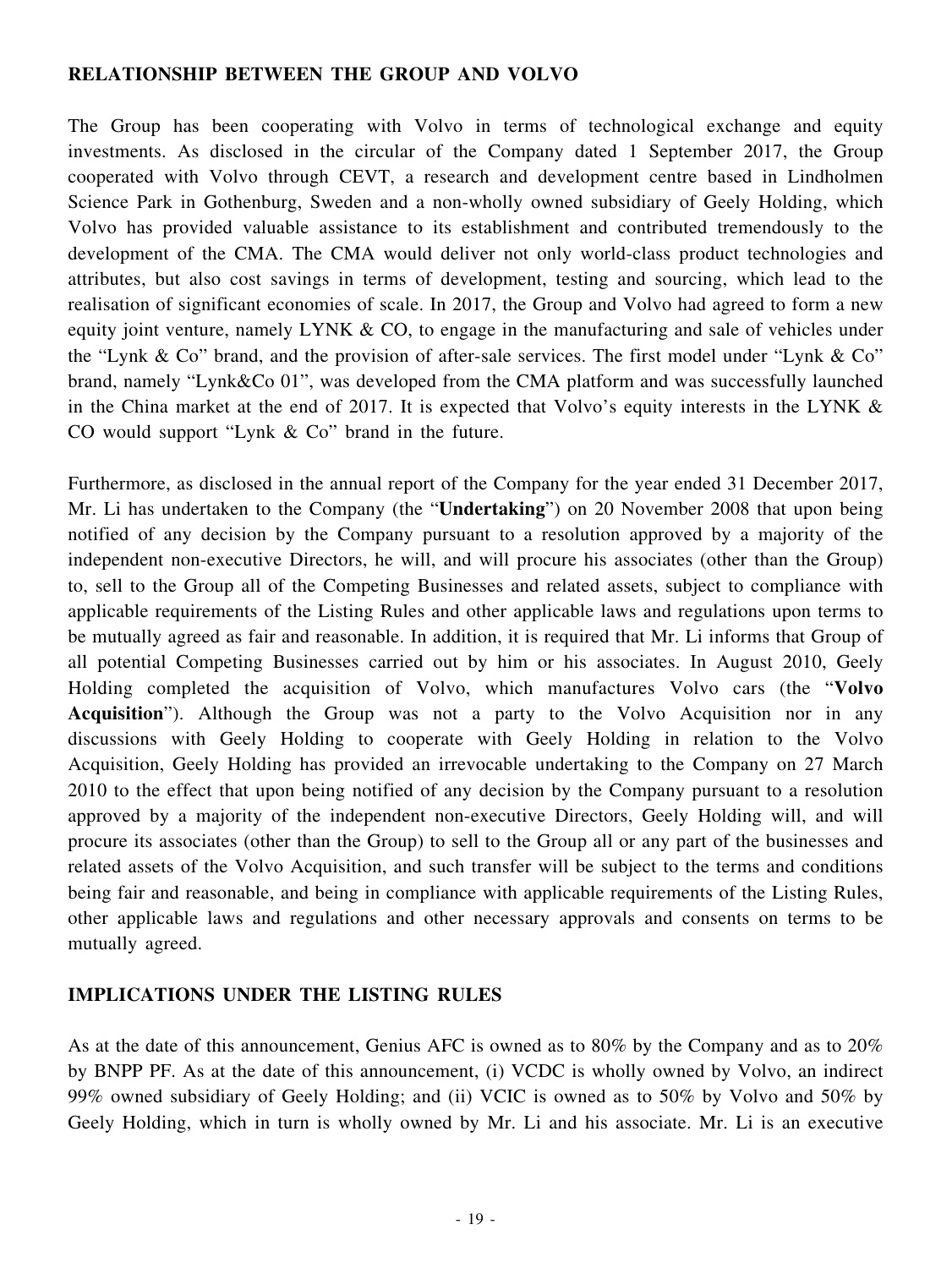#### **RELATIONSHIP BETWEEN THE GROUP AND VOLVO**

The Group has been cooperating with Volvo in terms of technological exchange and equity investments. As disclosed in the circular of the Company dated 1 September 2017, the Group cooperated with Volvo through CEVT, a research and development centre based in Lindholmen Science Park in Gothenburg, Sweden and a non-wholly owned subsidiary of Geely Holding, which Volvo has provided valuable assistance to its establishment and contributed tremendously to the development of the CMA. The CMA would deliver not only world-class product technologies and attributes, but also cost savings in terms of development, testing and sourcing, which lead to the realisation of significant economies of scale. In 2017, the Group and Volvo had agreed to form a new equity joint venture, namely LYNK & CO, to engage in the manufacturing and sale of vehicles under the "Lynk & Co" brand, and the provision of after-sale services. The first model under "Lynk & Co" brand, namely "Lynk&Co 01", was developed from the CMA platform and was successfully launched in the China market at the end of 2017. It is expected that Volvo's equity interests in the LYNK  $\&$ CO would support "Lynk & Co" brand in the future.

Furthermore, as disclosed in the annual report of the Company for the year ended 31 December 2017, Mr. Li has undertaken to the Company (the "**Undertaking**") on 20 November 2008 that upon being notified of any decision by the Company pursuant to a resolution approved by a majority of the independent non-executive Directors, he will, and will procure his associates (other than the Group) to, sell to the Group all of the Competing Businesses and related assets, subject to compliance with applicable requirements of the Listing Rules and other applicable laws and regulations upon terms to be mutually agreed as fair and reasonable. In addition, it is required that Mr. Li informs that Group of all potential Competing Businesses carried out by him or his associates. In August 2010, Geely Holding completed the acquisition of Volvo, which manufactures Volvo cars (the "**Volvo Acquisition**"). Although the Group was not a party to the Volvo Acquisition nor in any discussions with Geely Holding to cooperate with Geely Holding in relation to the Volvo Acquisition, Geely Holding has provided an irrevocable undertaking to the Company on 27 March 2010 to the effect that upon being notified of any decision by the Company pursuant to a resolution approved by a majority of the independent non-executive Directors, Geely Holding will, and will procure its associates (other than the Group) to sell to the Group all or any part of the businesses and related assets of the Volvo Acquisition, and such transfer will be subject to the terms and conditions being fair and reasonable, and being in compliance with applicable requirements of the Listing Rules, other applicable laws and regulations and other necessary approvals and consents on terms to be mutually agreed.

## **IMPLICATIONS UNDER THE LISTING RULES**

As at the date of this announcement, Genius AFC is owned as to 80% by the Company and as to 20% by BNPP PF. As at the date of this announcement, (i) VCDC is wholly owned by Volvo, an indirect 99% owned subsidiary of Geely Holding; and (ii) VCIC is owned as to 50% by Volvo and 50% by Geely Holding, which in turn is wholly owned by Mr. Li and his associate. Mr. Li is an executive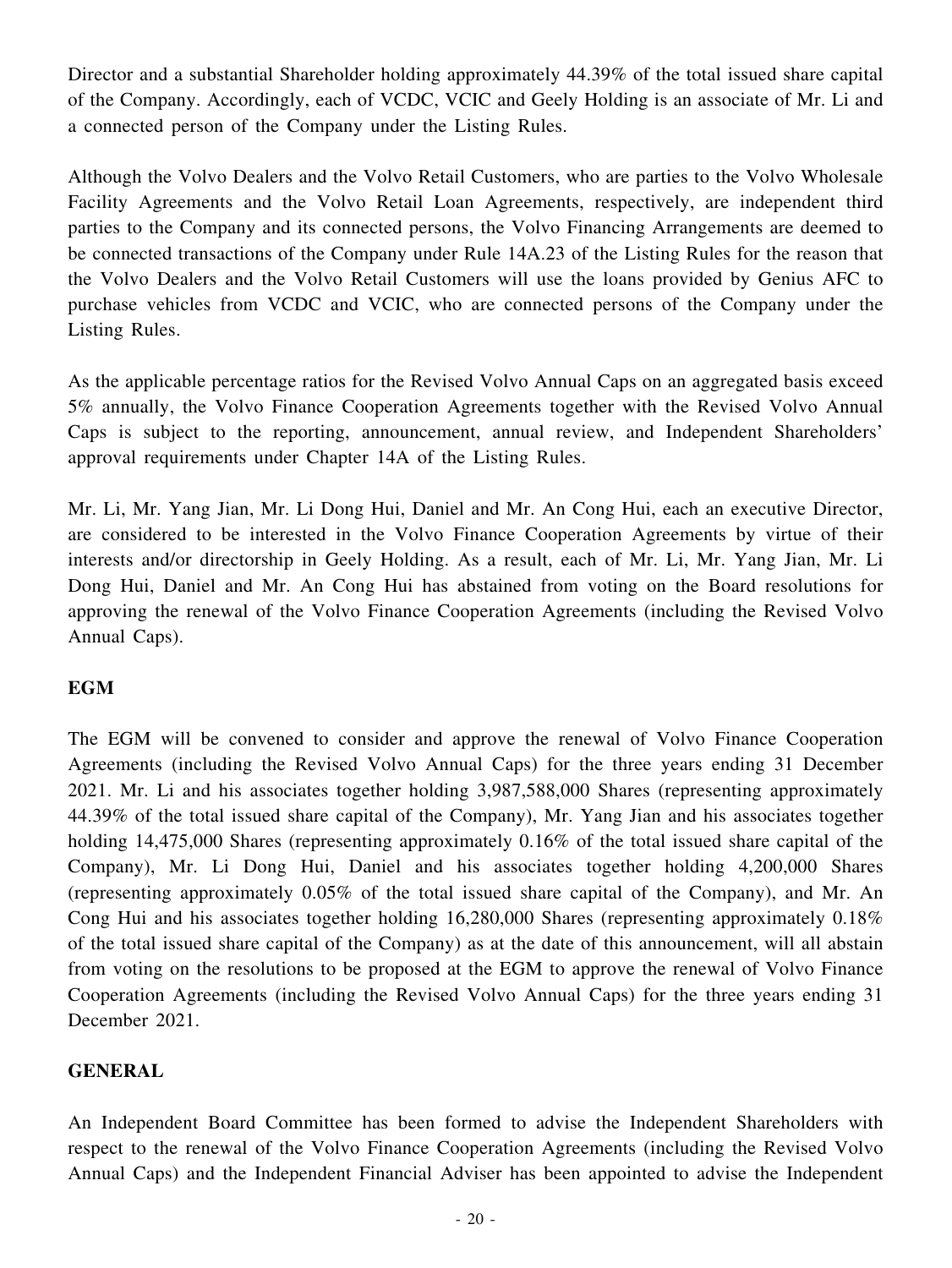Director and a substantial Shareholder holding approximately 44.39% of the total issued share capital of the Company. Accordingly, each of VCDC, VCIC and Geely Holding is an associate of Mr. Li and a connected person of the Company under the Listing Rules.

Although the Volvo Dealers and the Volvo Retail Customers, who are parties to the Volvo Wholesale Facility Agreements and the Volvo Retail Loan Agreements, respectively, are independent third parties to the Company and its connected persons, the Volvo Financing Arrangements are deemed to be connected transactions of the Company under Rule 14A.23 of the Listing Rules for the reason that the Volvo Dealers and the Volvo Retail Customers will use the loans provided by Genius AFC to purchase vehicles from VCDC and VCIC, who are connected persons of the Company under the Listing Rules.

As the applicable percentage ratios for the Revised Volvo Annual Caps on an aggregated basis exceed 5% annually, the Volvo Finance Cooperation Agreements together with the Revised Volvo Annual Caps is subject to the reporting, announcement, annual review, and Independent Shareholders' approval requirements under Chapter 14A of the Listing Rules.

Mr. Li, Mr. Yang Jian, Mr. Li Dong Hui, Daniel and Mr. An Cong Hui, each an executive Director, are considered to be interested in the Volvo Finance Cooperation Agreements by virtue of their interests and/or directorship in Geely Holding. As a result, each of Mr. Li, Mr. Yang Jian, Mr. Li Dong Hui, Daniel and Mr. An Cong Hui has abstained from voting on the Board resolutions for approving the renewal of the Volvo Finance Cooperation Agreements (including the Revised Volvo Annual Caps).

# **EGM**

The EGM will be convened to consider and approve the renewal of Volvo Finance Cooperation Agreements (including the Revised Volvo Annual Caps) for the three years ending 31 December 2021. Mr. Li and his associates together holding 3,987,588,000 Shares (representing approximately 44.39% of the total issued share capital of the Company), Mr. Yang Jian and his associates together holding 14,475,000 Shares (representing approximately 0.16% of the total issued share capital of the Company), Mr. Li Dong Hui, Daniel and his associates together holding 4,200,000 Shares (representing approximately 0.05% of the total issued share capital of the Company), and Mr. An Cong Hui and his associates together holding 16,280,000 Shares (representing approximately 0.18% of the total issued share capital of the Company) as at the date of this announcement, will all abstain from voting on the resolutions to be proposed at the EGM to approve the renewal of Volvo Finance Cooperation Agreements (including the Revised Volvo Annual Caps) for the three years ending 31 December 2021.

## **GENERAL**

An Independent Board Committee has been formed to advise the Independent Shareholders with respect to the renewal of the Volvo Finance Cooperation Agreements (including the Revised Volvo Annual Caps) and the Independent Financial Adviser has been appointed to advise the Independent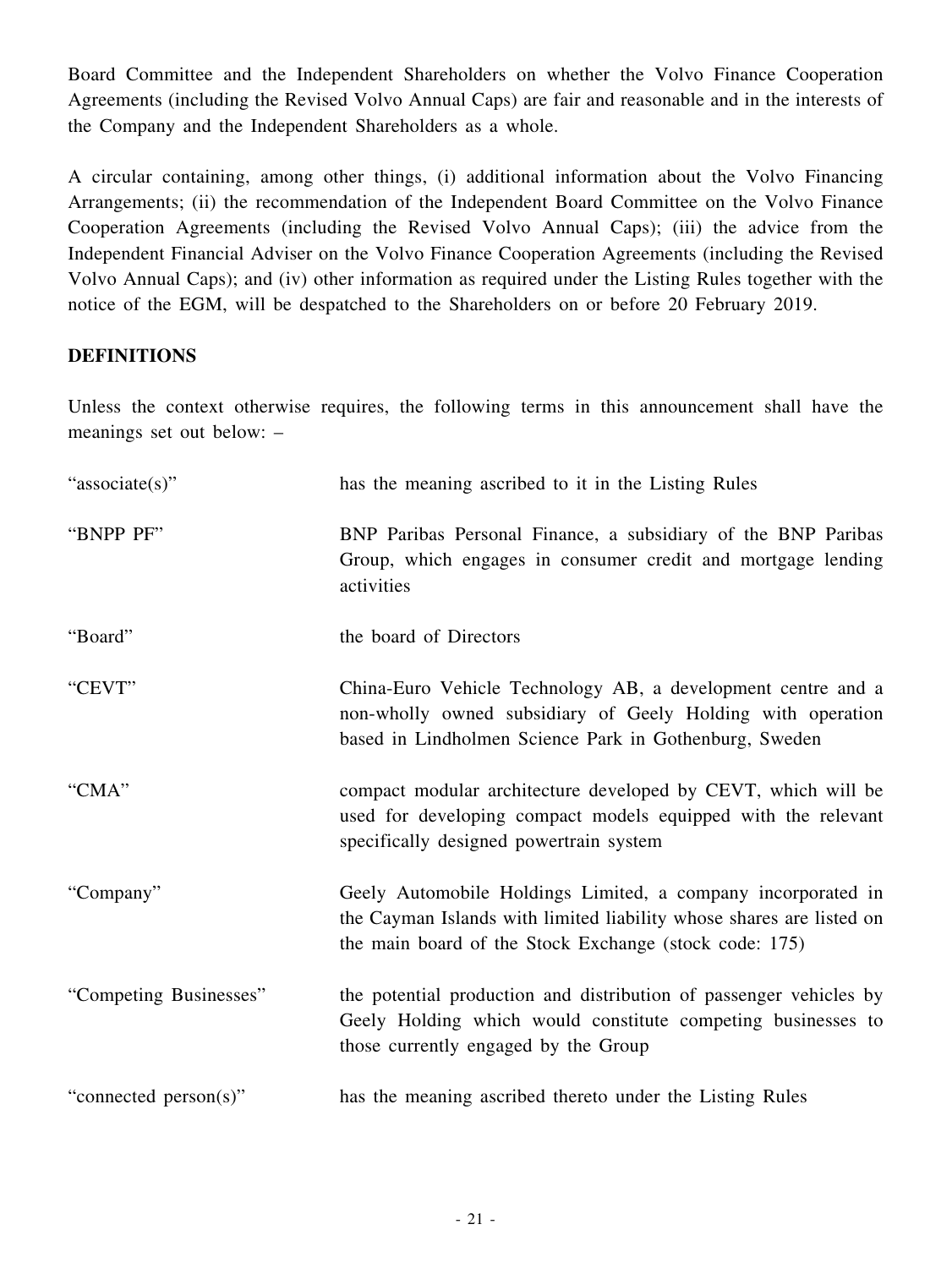Board Committee and the Independent Shareholders on whether the Volvo Finance Cooperation Agreements (including the Revised Volvo Annual Caps) are fair and reasonable and in the interests of the Company and the Independent Shareholders as a whole.

A circular containing, among other things, (i) additional information about the Volvo Financing Arrangements; (ii) the recommendation of the Independent Board Committee on the Volvo Finance Cooperation Agreements (including the Revised Volvo Annual Caps); (iii) the advice from the Independent Financial Adviser on the Volvo Finance Cooperation Agreements (including the Revised Volvo Annual Caps); and (iv) other information as required under the Listing Rules together with the notice of the EGM, will be despatched to the Shareholders on or before 20 February 2019.

## **DEFINITIONS**

Unless the context otherwise requires, the following terms in this announcement shall have the meanings set out below: –

| "associate(s)"         | has the meaning ascribed to it in the Listing Rules                                                                                                                                            |
|------------------------|------------------------------------------------------------------------------------------------------------------------------------------------------------------------------------------------|
| "BNPP PF"              | BNP Paribas Personal Finance, a subsidiary of the BNP Paribas<br>Group, which engages in consumer credit and mortgage lending<br>activities                                                    |
| "Board"                | the board of Directors                                                                                                                                                                         |
| "CEVT"                 | China-Euro Vehicle Technology AB, a development centre and a<br>non-wholly owned subsidiary of Geely Holding with operation<br>based in Lindholmen Science Park in Gothenburg, Sweden          |
| "CMA"                  | compact modular architecture developed by CEVT, which will be<br>used for developing compact models equipped with the relevant<br>specifically designed powertrain system                      |
| "Company"              | Geely Automobile Holdings Limited, a company incorporated in<br>the Cayman Islands with limited liability whose shares are listed on<br>the main board of the Stock Exchange (stock code: 175) |
| "Competing Businesses" | the potential production and distribution of passenger vehicles by<br>Geely Holding which would constitute competing businesses to<br>those currently engaged by the Group                     |
| "connected person(s)"  | has the meaning ascribed thereto under the Listing Rules                                                                                                                                       |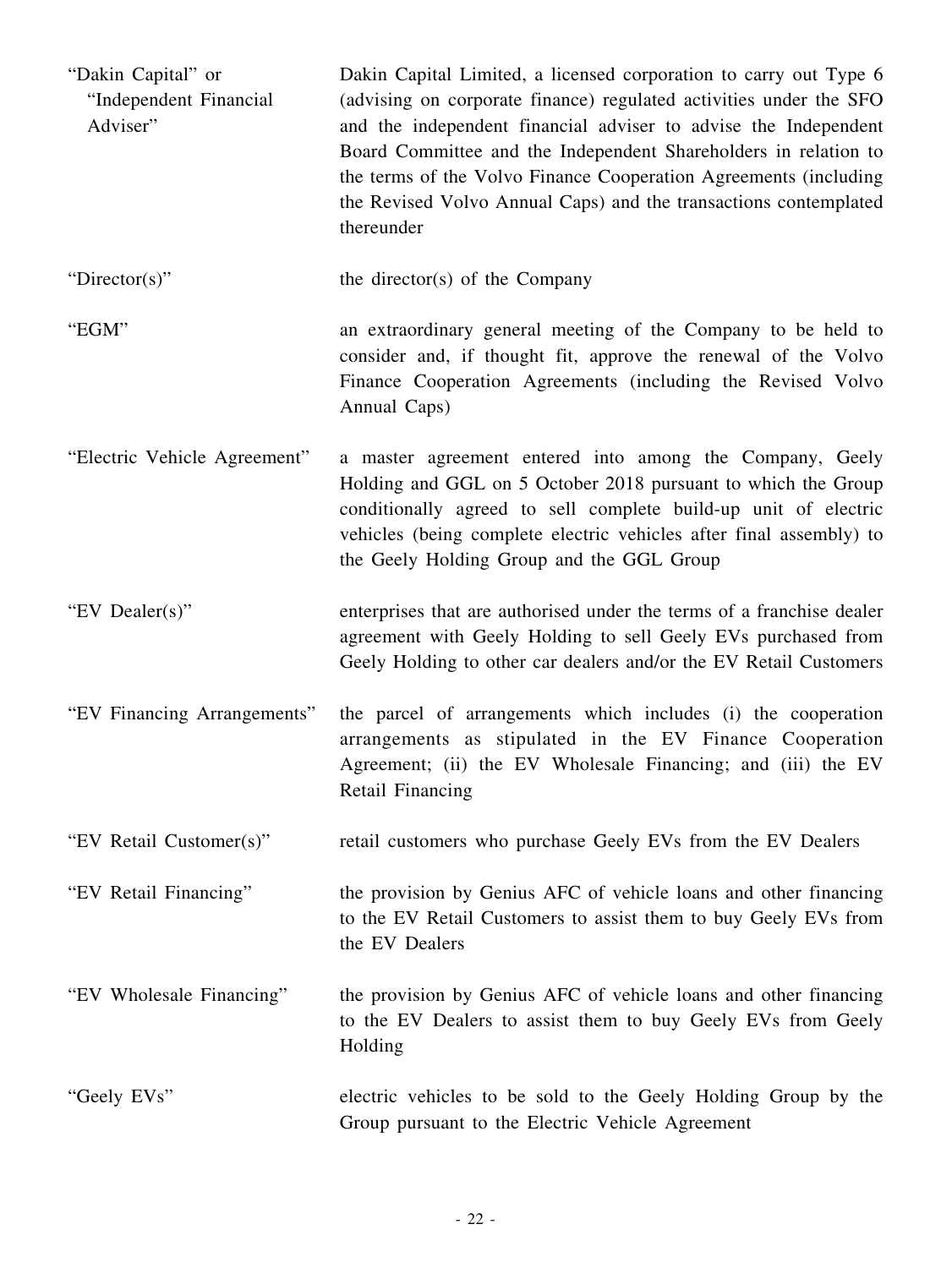| "Dakin Capital" or<br>"Independent Financial<br>Adviser" | Dakin Capital Limited, a licensed corporation to carry out Type 6<br>(advising on corporate finance) regulated activities under the SFO<br>and the independent financial adviser to advise the Independent<br>Board Committee and the Independent Shareholders in relation to<br>the terms of the Volvo Finance Cooperation Agreements (including<br>the Revised Volvo Annual Caps) and the transactions contemplated<br>thereunder |
|----------------------------------------------------------|-------------------------------------------------------------------------------------------------------------------------------------------------------------------------------------------------------------------------------------------------------------------------------------------------------------------------------------------------------------------------------------------------------------------------------------|
| "Director(s)"                                            | the director(s) of the Company                                                                                                                                                                                                                                                                                                                                                                                                      |
| "EGM"                                                    | an extraordinary general meeting of the Company to be held to<br>consider and, if thought fit, approve the renewal of the Volvo<br>Finance Cooperation Agreements (including the Revised Volvo<br>Annual Caps)                                                                                                                                                                                                                      |
| "Electric Vehicle Agreement"                             | a master agreement entered into among the Company, Geely<br>Holding and GGL on 5 October 2018 pursuant to which the Group<br>conditionally agreed to sell complete build-up unit of electric<br>vehicles (being complete electric vehicles after final assembly) to<br>the Geely Holding Group and the GGL Group                                                                                                                    |
| "EV Dealer(s)"                                           | enterprises that are authorised under the terms of a franchise dealer<br>agreement with Geely Holding to sell Geely EVs purchased from<br>Geely Holding to other car dealers and/or the EV Retail Customers                                                                                                                                                                                                                         |
| "EV Financing Arrangements"                              | the parcel of arrangements which includes (i) the cooperation<br>arrangements as stipulated in the EV Finance Cooperation<br>Agreement; (ii) the EV Wholesale Financing; and (iii) the EV<br>Retail Financing                                                                                                                                                                                                                       |
| "EV Retail Customer(s)"                                  | retail customers who purchase Geely EVs from the EV Dealers                                                                                                                                                                                                                                                                                                                                                                         |
| "EV Retail Financing"                                    | the provision by Genius AFC of vehicle loans and other financing<br>to the EV Retail Customers to assist them to buy Geely EVs from<br>the EV Dealers                                                                                                                                                                                                                                                                               |
| "EV Wholesale Financing"                                 | the provision by Genius AFC of vehicle loans and other financing<br>to the EV Dealers to assist them to buy Geely EVs from Geely<br>Holding                                                                                                                                                                                                                                                                                         |
| "Geely EVs"                                              | electric vehicles to be sold to the Geely Holding Group by the<br>Group pursuant to the Electric Vehicle Agreement                                                                                                                                                                                                                                                                                                                  |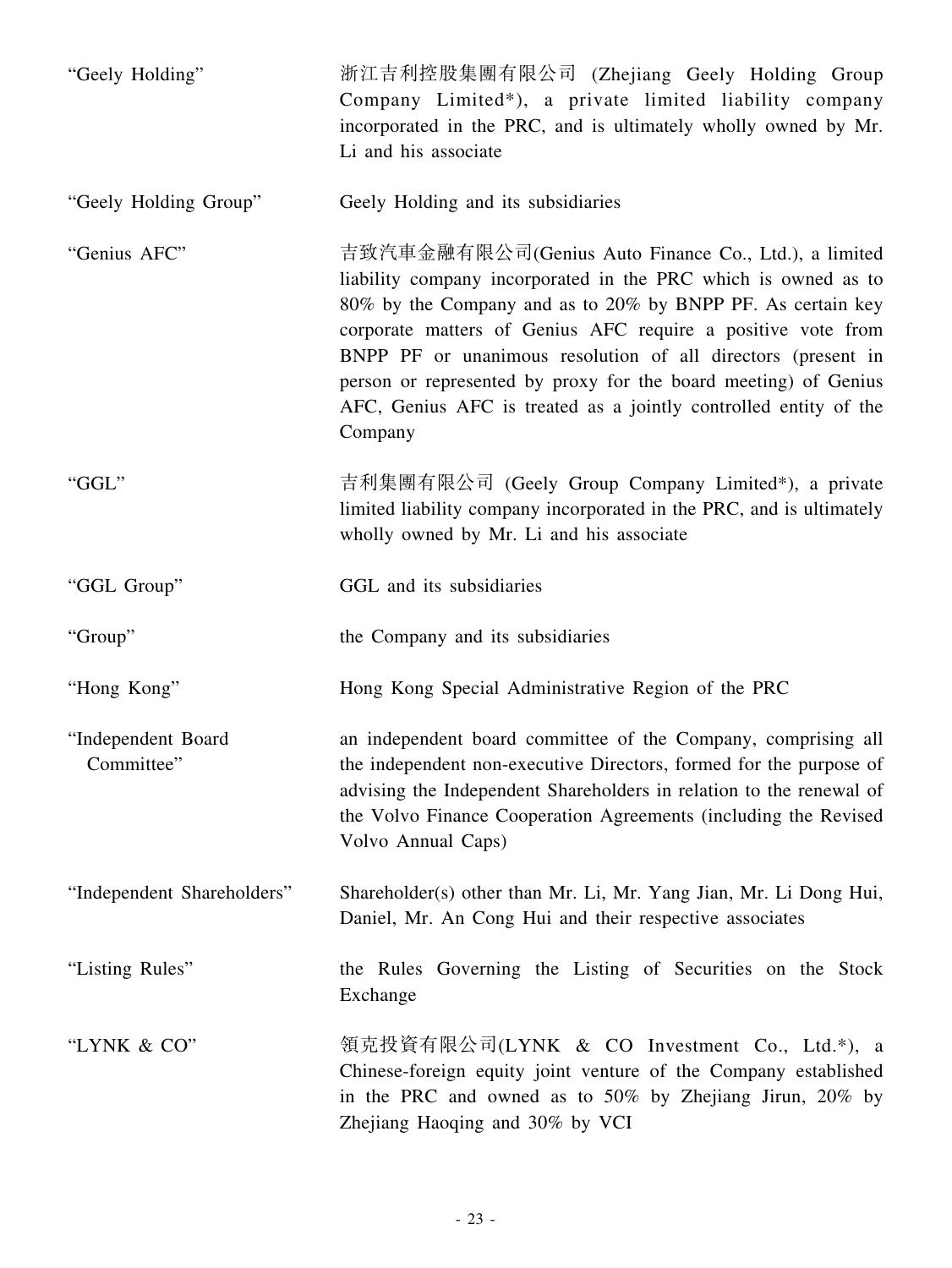| "Geely Holding"                  | 浙江吉利控股集團有限公司 (Zhejiang Geely Holding Group<br>Company Limited*), a private limited liability company<br>incorporated in the PRC, and is ultimately wholly owned by Mr.<br>Li and his associate                                                                                                                                                                                                                                                                          |
|----------------------------------|-------------------------------------------------------------------------------------------------------------------------------------------------------------------------------------------------------------------------------------------------------------------------------------------------------------------------------------------------------------------------------------------------------------------------------------------------------------------------|
| "Geely Holding Group"            | Geely Holding and its subsidiaries                                                                                                                                                                                                                                                                                                                                                                                                                                      |
| "Genius AFC"                     | 吉致汽車金融有限公司(Genius Auto Finance Co., Ltd.), a limited<br>liability company incorporated in the PRC which is owned as to<br>80% by the Company and as to 20% by BNPP PF. As certain key<br>corporate matters of Genius AFC require a positive vote from<br>BNPP PF or unanimous resolution of all directors (present in<br>person or represented by proxy for the board meeting) of Genius<br>AFC, Genius AFC is treated as a jointly controlled entity of the<br>Company |
| "GGL"                            | 吉利集團有限公司 (Geely Group Company Limited*), a private<br>limited liability company incorporated in the PRC, and is ultimately<br>wholly owned by Mr. Li and his associate                                                                                                                                                                                                                                                                                                  |
| "GGL Group"                      | GGL and its subsidiaries                                                                                                                                                                                                                                                                                                                                                                                                                                                |
| "Group"                          | the Company and its subsidiaries                                                                                                                                                                                                                                                                                                                                                                                                                                        |
| "Hong Kong"                      | Hong Kong Special Administrative Region of the PRC                                                                                                                                                                                                                                                                                                                                                                                                                      |
| "Independent Board<br>Committee" | an independent board committee of the Company, comprising all<br>the independent non-executive Directors, formed for the purpose of<br>advising the Independent Shareholders in relation to the renewal of<br>the Volvo Finance Cooperation Agreements (including the Revised<br>Volvo Annual Caps)                                                                                                                                                                     |
| "Independent Shareholders"       | Shareholder(s) other than Mr. Li, Mr. Yang Jian, Mr. Li Dong Hui,<br>Daniel, Mr. An Cong Hui and their respective associates                                                                                                                                                                                                                                                                                                                                            |
| "Listing Rules"                  | the Rules Governing the Listing of Securities on the Stock<br>Exchange                                                                                                                                                                                                                                                                                                                                                                                                  |
| "LYNK & CO"                      | 領克投資有限公司(LYNK & CO Investment Co., Ltd.*), a<br>Chinese-foreign equity joint venture of the Company established<br>in the PRC and owned as to 50% by Zhejiang Jirun, 20% by<br>Zhejiang Haoqing and 30% by VCI                                                                                                                                                                                                                                                          |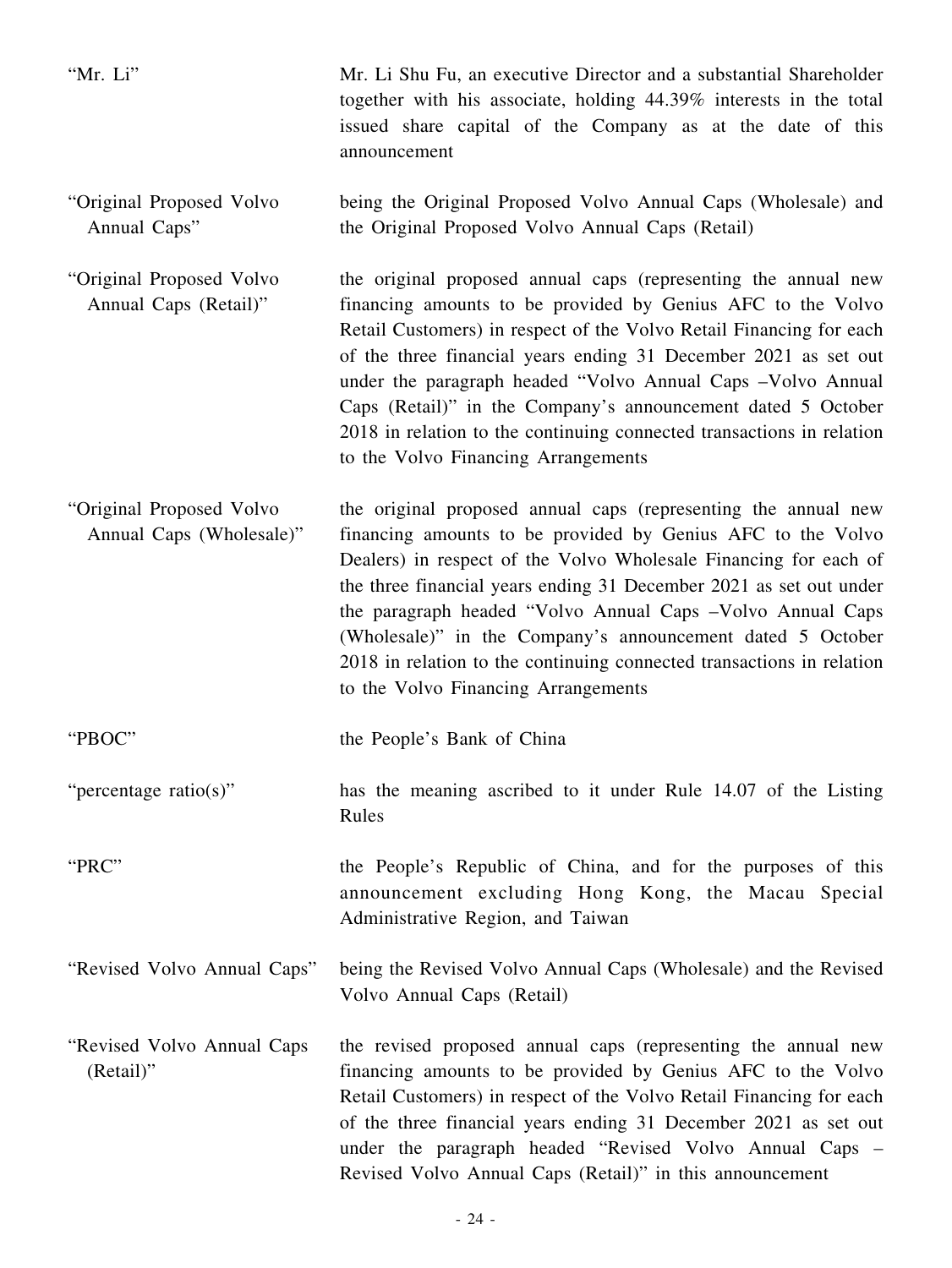| "Mr. Li"                                             | Mr. Li Shu Fu, an executive Director and a substantial Shareholder<br>together with his associate, holding 44.39% interests in the total<br>issued share capital of the Company as at the date of this<br>announcement                                                                                                                                                                                                                                                                                                  |
|------------------------------------------------------|-------------------------------------------------------------------------------------------------------------------------------------------------------------------------------------------------------------------------------------------------------------------------------------------------------------------------------------------------------------------------------------------------------------------------------------------------------------------------------------------------------------------------|
| "Original Proposed Volvo<br>Annual Caps"             | being the Original Proposed Volvo Annual Caps (Wholesale) and<br>the Original Proposed Volvo Annual Caps (Retail)                                                                                                                                                                                                                                                                                                                                                                                                       |
| "Original Proposed Volvo<br>Annual Caps (Retail)"    | the original proposed annual caps (representing the annual new<br>financing amounts to be provided by Genius AFC to the Volvo<br>Retail Customers) in respect of the Volvo Retail Financing for each<br>of the three financial years ending 31 December 2021 as set out<br>under the paragraph headed "Volvo Annual Caps - Volvo Annual<br>Caps (Retail)" in the Company's announcement dated 5 October<br>2018 in relation to the continuing connected transactions in relation<br>to the Volvo Financing Arrangements |
| "Original Proposed Volvo<br>Annual Caps (Wholesale)" | the original proposed annual caps (representing the annual new<br>financing amounts to be provided by Genius AFC to the Volvo<br>Dealers) in respect of the Volvo Wholesale Financing for each of<br>the three financial years ending 31 December 2021 as set out under<br>the paragraph headed "Volvo Annual Caps - Volvo Annual Caps<br>(Wholesale)" in the Company's announcement dated 5 October<br>2018 in relation to the continuing connected transactions in relation<br>to the Volvo Financing Arrangements    |
| "PBOC"                                               | the People's Bank of China                                                                                                                                                                                                                                                                                                                                                                                                                                                                                              |
| "percentage ratio(s)"                                | has the meaning ascribed to it under Rule 14.07 of the Listing<br>Rules                                                                                                                                                                                                                                                                                                                                                                                                                                                 |
| "PRC"                                                | the People's Republic of China, and for the purposes of this<br>announcement excluding Hong Kong, the Macau Special<br>Administrative Region, and Taiwan                                                                                                                                                                                                                                                                                                                                                                |
| "Revised Volvo Annual Caps"                          | being the Revised Volvo Annual Caps (Wholesale) and the Revised<br>Volvo Annual Caps (Retail)                                                                                                                                                                                                                                                                                                                                                                                                                           |
| "Revised Volvo Annual Caps"<br>$(Retail)$ "          | the revised proposed annual caps (representing the annual new<br>financing amounts to be provided by Genius AFC to the Volvo<br>Retail Customers) in respect of the Volvo Retail Financing for each<br>of the three financial years ending 31 December 2021 as set out<br>under the paragraph headed "Revised Volvo Annual Caps –<br>Revised Volvo Annual Caps (Retail)" in this announcement                                                                                                                           |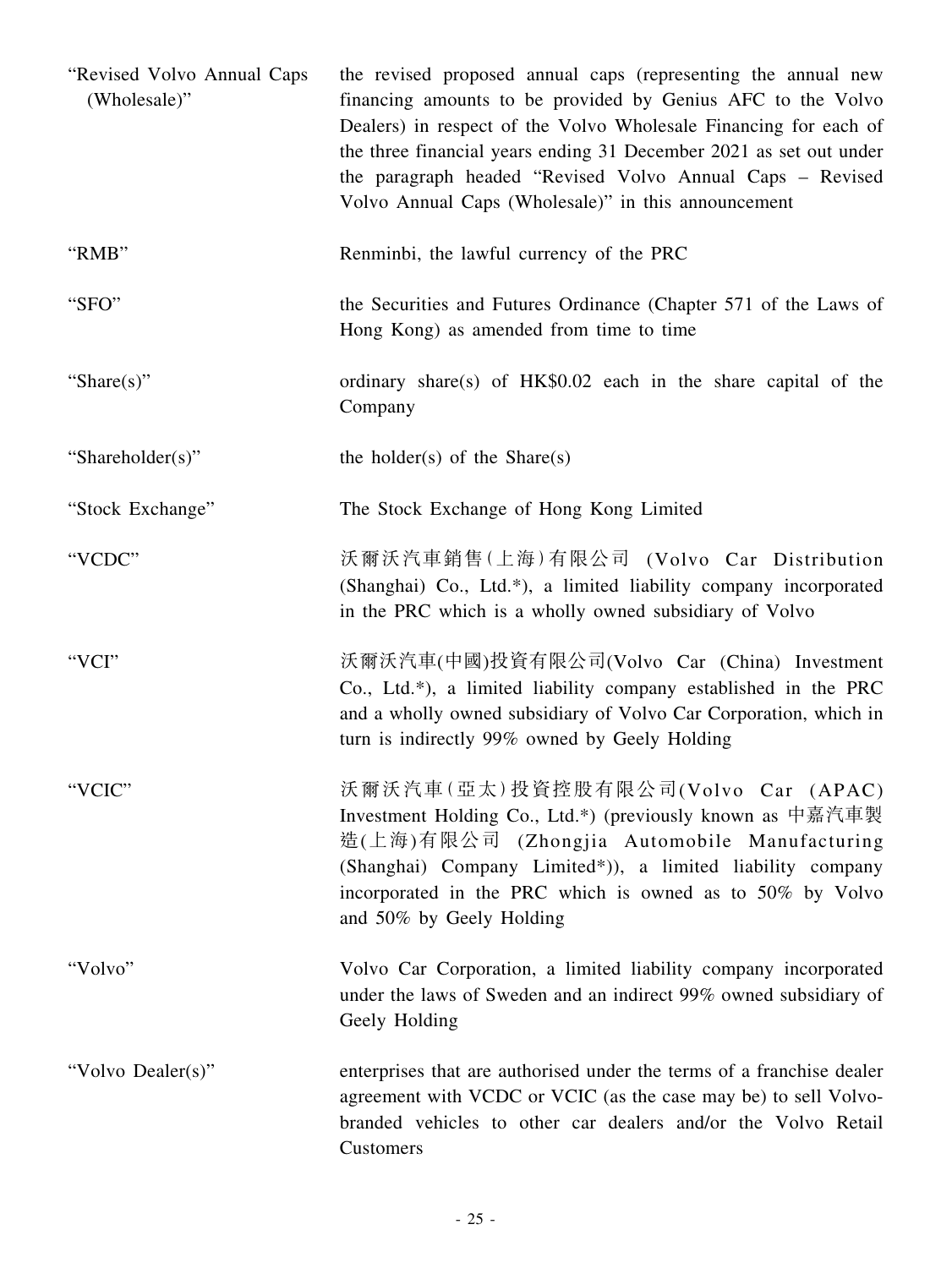| "Revised Volvo Annual Caps<br>(Wholesale)" | the revised proposed annual caps (representing the annual new<br>financing amounts to be provided by Genius AFC to the Volvo<br>Dealers) in respect of the Volvo Wholesale Financing for each of<br>the three financial years ending 31 December 2021 as set out under<br>the paragraph headed "Revised Volvo Annual Caps - Revised<br>Volvo Annual Caps (Wholesale)" in this announcement |
|--------------------------------------------|--------------------------------------------------------------------------------------------------------------------------------------------------------------------------------------------------------------------------------------------------------------------------------------------------------------------------------------------------------------------------------------------|
| "RMB"                                      | Renminbi, the lawful currency of the PRC                                                                                                                                                                                                                                                                                                                                                   |
| "SFO"                                      | the Securities and Futures Ordinance (Chapter 571 of the Laws of<br>Hong Kong) as amended from time to time                                                                                                                                                                                                                                                                                |
| "Share $(s)$ "                             | ordinary share(s) of HK\$0.02 each in the share capital of the<br>Company                                                                                                                                                                                                                                                                                                                  |
| "Shareholder(s)"                           | the holder(s) of the Share(s)                                                                                                                                                                                                                                                                                                                                                              |
| "Stock Exchange"                           | The Stock Exchange of Hong Kong Limited                                                                                                                                                                                                                                                                                                                                                    |
| "VCDC"                                     | 沃爾沃汽車銷售(上海)有限公司 (Volvo Car Distribution<br>(Shanghai) Co., Ltd.*), a limited liability company incorporated<br>in the PRC which is a wholly owned subsidiary of Volvo                                                                                                                                                                                                                      |
| "VCI"                                      | 沃爾沃汽車(中國)投資有限公司(Volvo Car (China) Investment<br>Co., Ltd.*), a limited liability company established in the PRC<br>and a wholly owned subsidiary of Volvo Car Corporation, which in<br>turn is indirectly 99% owned by Geely Holding                                                                                                                                                       |
| "VCIC"                                     | 沃爾沃汽車(亞太)投資控股有限公司(Volvo Car (APAC)<br>Investment Holding Co., Ltd.*) (previously known as 中嘉汽車製<br>造(上海)有限公司 (Zhongjia Automobile Manufacturing<br>(Shanghai) Company Limited*)), a limited liability company<br>incorporated in the PRC which is owned as to 50% by Volvo<br>and 50% by Geely Holding                                                                                     |
| "Volvo"                                    | Volvo Car Corporation, a limited liability company incorporated<br>under the laws of Sweden and an indirect 99% owned subsidiary of<br>Geely Holding                                                                                                                                                                                                                                       |
| "Volvo Dealer(s)"                          | enterprises that are authorised under the terms of a franchise dealer<br>agreement with VCDC or VCIC (as the case may be) to sell Volvo-<br>branded vehicles to other car dealers and/or the Volvo Retail<br>Customers                                                                                                                                                                     |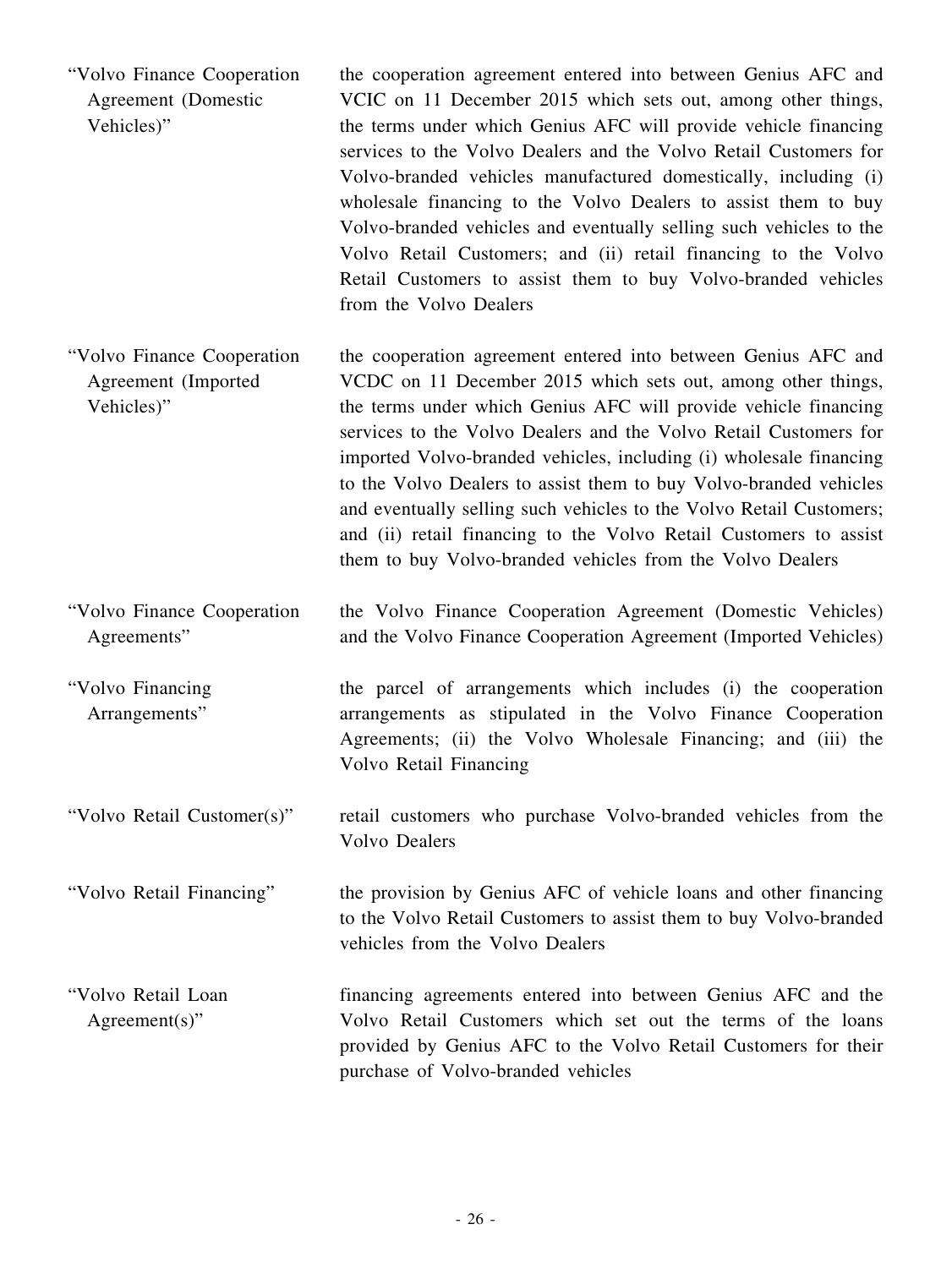"Volvo Finance Cooperation Agreement (Domestic Vehicles)" the cooperation agreement entered into between Genius AFC and VCIC on 11 December 2015 which sets out, among other things, the terms under which Genius AFC will provide vehicle financing services to the Volvo Dealers and the Volvo Retail Customers for Volvo-branded vehicles manufactured domestically, including (i) wholesale financing to the Volvo Dealers to assist them to buy Volvo-branded vehicles and eventually selling such vehicles to the Volvo Retail Customers; and (ii) retail financing to the Volvo Retail Customers to assist them to buy Volvo-branded vehicles from the Volvo Dealers

"Volvo Finance Cooperation Agreement (Imported Vehicles)" the cooperation agreement entered into between Genius AFC and VCDC on 11 December 2015 which sets out, among other things, the terms under which Genius AFC will provide vehicle financing services to the Volvo Dealers and the Volvo Retail Customers for imported Volvo-branded vehicles, including (i) wholesale financing to the Volvo Dealers to assist them to buy Volvo-branded vehicles and eventually selling such vehicles to the Volvo Retail Customers; and (ii) retail financing to the Volvo Retail Customers to assist them to buy Volvo-branded vehicles from the Volvo Dealers

"Volvo Finance Cooperation Agreements" the Volvo Finance Cooperation Agreement (Domestic Vehicles) and the Volvo Finance Cooperation Agreement (Imported Vehicles)

"Volvo Financing Arrangements"

the parcel of arrangements which includes (i) the cooperation arrangements as stipulated in the Volvo Finance Cooperation Agreements; (ii) the Volvo Wholesale Financing; and (iii) the Volvo Retail Financing

"Volvo Retail Customer(s)" retail customers who purchase Volvo-branded vehicles from the Volvo Dealers

"Volvo Retail Financing" the provision by Genius AFC of vehicle loans and other financing to the Volvo Retail Customers to assist them to buy Volvo-branded vehicles from the Volvo Dealers

"Volvo Retail Loan Agreement(s)" financing agreements entered into between Genius AFC and the Volvo Retail Customers which set out the terms of the loans provided by Genius AFC to the Volvo Retail Customers for their purchase of Volvo-branded vehicles